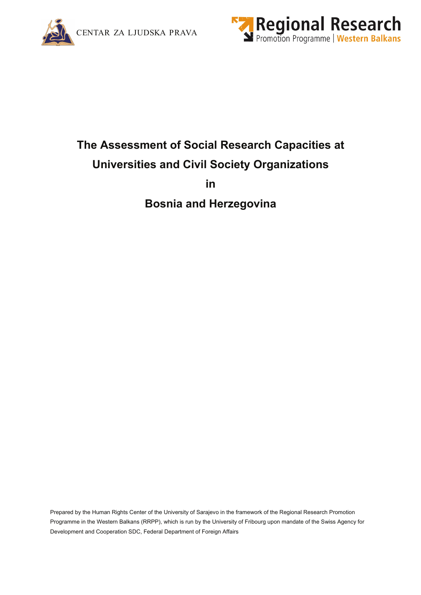



# **The Assessment of Social Research Capacities at Universities and Civil Society Organizations**

**in** 

**Bosnia and Herzegovina** 

Prepared by the Human Rights Center of the University of Sarajevo in the framework of the Regional Research Promotion Programme in the Western Balkans (RRPP), which is run by the University of Fribourg upon mandate of the Swiss Agency for Development and Cooperation SDC, Federal Department of Foreign Affairs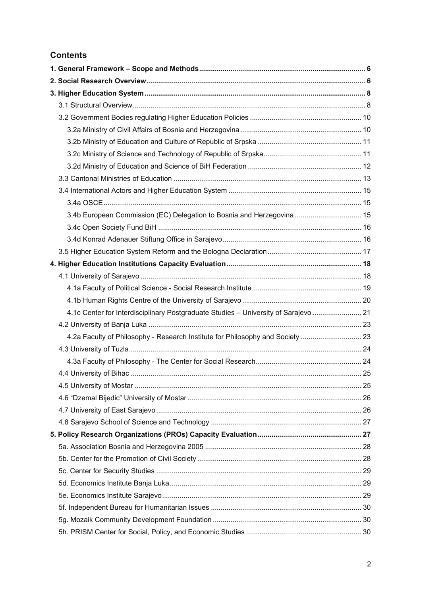# **Contents**

| 3.4b European Commission (EC) Delegation to Bosnia and Herzegovina  15              |  |
|-------------------------------------------------------------------------------------|--|
|                                                                                     |  |
|                                                                                     |  |
|                                                                                     |  |
|                                                                                     |  |
|                                                                                     |  |
|                                                                                     |  |
|                                                                                     |  |
| 4.1c Center for Interdisciplinary Postgraduate Studies - University of Sarajevo  21 |  |
|                                                                                     |  |
| 4.2a Faculty of Philosophy - Research Institute for Philosophy and Society  23      |  |
|                                                                                     |  |
|                                                                                     |  |
|                                                                                     |  |
|                                                                                     |  |
|                                                                                     |  |
|                                                                                     |  |
|                                                                                     |  |
|                                                                                     |  |
|                                                                                     |  |
|                                                                                     |  |
|                                                                                     |  |
|                                                                                     |  |
|                                                                                     |  |
|                                                                                     |  |
|                                                                                     |  |
|                                                                                     |  |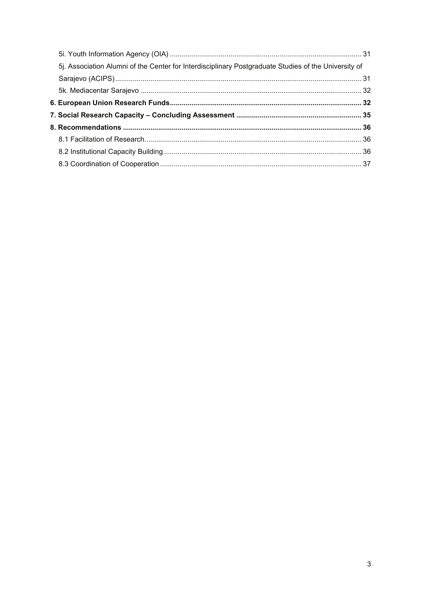| 5j. Association Alumni of the Center for Interdisciplinary Postgraduate Studies of the University of |  |
|------------------------------------------------------------------------------------------------------|--|
|                                                                                                      |  |
|                                                                                                      |  |
|                                                                                                      |  |
|                                                                                                      |  |
|                                                                                                      |  |
|                                                                                                      |  |
|                                                                                                      |  |
|                                                                                                      |  |
|                                                                                                      |  |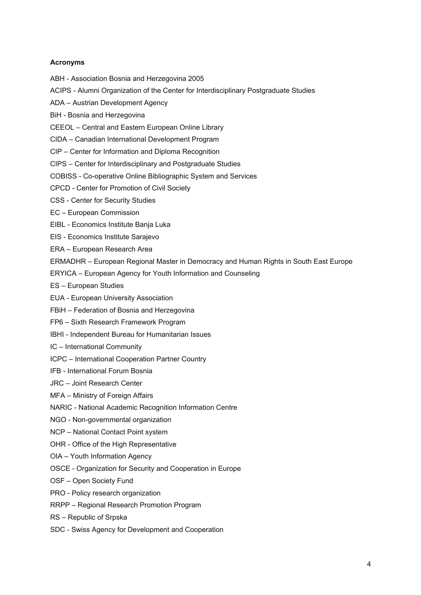## **Acronyms**

- ABH Association Bosnia and Herzegovina 2005
- ACIPS Alumni Organization of the Center for Interdisciplinary Postgraduate Studies
- ADA Austrian Development Agency
- BiH Bosnia and Herzegovina
- CEEOL Central and Eastern European Online Library
- CIDA Canadian International Development Program
- CIP Center for Information and Diploma Recognition
- CIPS Center for Interdisciplinary and Postgraduate Studies
- COBISS Co-operative Online Bibliographic System and Services
- CPCD Center for Promotion of Civil Society
- CSS Center for Security Studies
- EC European Commission
- EIBL Economics Institute Banja Luka
- EIS Economics Institute Sarajevo
- ERA European Research Area
- ERMADHR European Regional Master in Democracy and Human Rights in South East Europe
- ERYICA European Agency for Youth Information and Counseling
- ES European Studies
- EUA European University Association
- FBiH Federation of Bosnia and Herzegovina
- FP6 Sixth Research Framework Program
- IBHI Independent Bureau for Humanitarian Issues
- IC International Community
- ICPC International Cooperation Partner Country
- IFB International Forum Bosnia
- JRC Joint Research Center
- MFA Ministry of Foreign Affairs
- NARIC National Academic Recognition Information Centre
- NGO Non-governmental organization
- NCP National Contact Point system
- OHR Office of the High Representative
- OIA Youth Information Agency
- OSCE Organization for Security and Cooperation in Europe
- OSF Open Society Fund
- PRO Policy research organization
- RRPP Regional Research Promotion Program
- RS Republic of Srpska
- SDC Swiss Agency for Development and Cooperation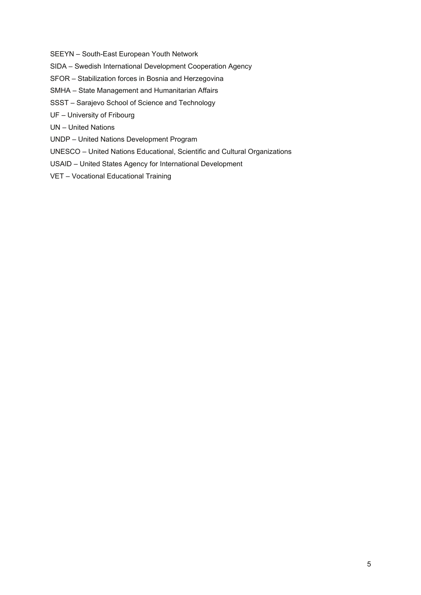SEEYN – South-East European Youth Network

- SIDA Swedish International Development Cooperation Agency
- SFOR Stabilization forces in Bosnia and Herzegovina
- SMHA State Management and Humanitarian Affairs
- SSST Sarajevo School of Science and Technology
- UF University of Fribourg
- UN United Nations
- UNDP United Nations Development Program
- UNESCO United Nations Educational, Scientific and Cultural Organizations
- USAID United States Agency for International Development
- VET Vocational Educational Training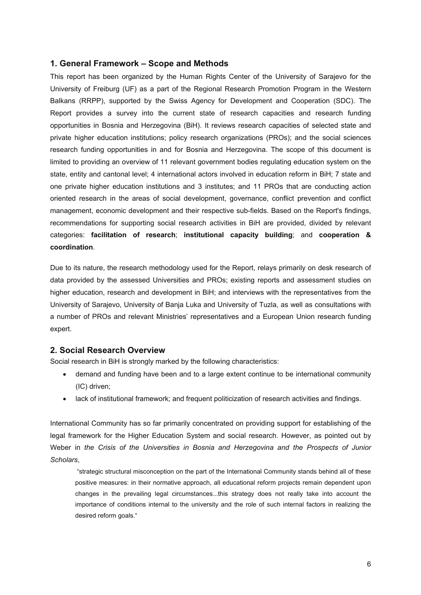# <span id="page-5-0"></span>**1. General Framework – Scope and Methods**

This report has been organized by the Human Rights Center of the University of Sarajevo for the University of Freiburg (UF) as a part of the Regional Research Promotion Program in the Western Balkans (RRPP), supported by the Swiss Agency for Development and Cooperation (SDC). The Report provides a survey into the current state of research capacities and research funding opportunities in Bosnia and Herzegovina (BiH). It reviews research capacities of selected state and private higher education institutions; policy research organizations (PROs); and the social sciences research funding opportunities in and for Bosnia and Herzegovina. The scope of this document is limited to providing an overview of 11 relevant government bodies regulating education system on the state, entity and cantonal level; 4 international actors involved in education reform in BiH; 7 state and one private higher education institutions and 3 institutes; and 11 PROs that are conducting action oriented research in the areas of social development, governance, conflict prevention and conflict management, economic development and their respective sub-fields. Based on the Report's findings, recommendations for supporting social research activities in BiH are provided, divided by relevant categories: **facilitation of research**; **institutional capacity building**; and **cooperation & coordination**.

Due to its nature, the research methodology used for the Report, relays primarily on desk research of data provided by the assessed Universities and PROs; existing reports and assessment studies on higher education, research and development in BiH; and interviews with the representatives from the University of Sarajevo, University of Banja Luka and University of Tuzla, as well as consultations with a number of PROs and relevant Ministries' representatives and a European Union research funding expert.

## **2. Social Research Overview**

Social research in BiH is strongly marked by the following characteristics:

- demand and funding have been and to a large extent continue to be international community (IC) driven;
- lack of institutional framework; and frequent politicization of research activities and findings.

International Community has so far primarily concentrated on providing support for establishing of the legal framework for the Higher Education System and social research. However, as pointed out by Weber in *the Crisis of the Universities in Bosnia and Herzegovina and the Prospects of Junior Scholars*,

 "strategic structural misconception on the part of the International Community stands behind all of these positive measures: in their normative approach, all educational reform projects remain dependent upon changes in the prevailing legal circumstances...this strategy does not really take into account the importance of conditions internal to the university and the role of such internal factors in realizing the desired reform goals."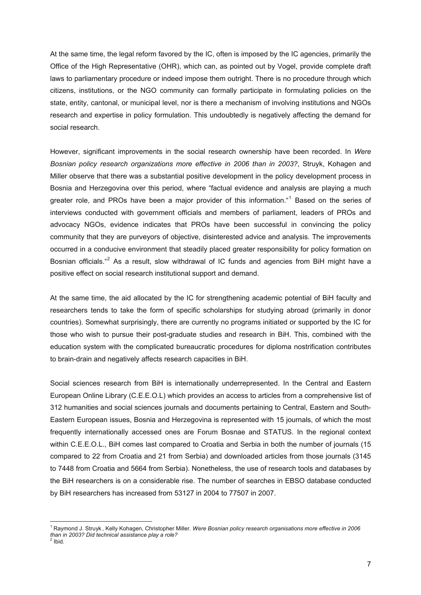<span id="page-6-0"></span>At the same time, the legal reform favored by the IC, often is imposed by the IC agencies, primarily the Office of the High Representative (OHR), which can, as pointed out by Vogel, provide complete draft laws to parliamentary procedure or indeed impose them outright. There is no procedure through which citizens, institutions, or the NGO community can formally participate in formulating policies on the state, entity, cantonal, or municipal level, nor is there a mechanism of involving institutions and NGOs research and expertise in policy formulation. This undoubtedly is negatively affecting the demand for social research.

However, significant improvements in the social research ownership have been recorded. In *Were Bosnian policy research organizations more effective in 2006 than in 2003?*, Struyk, Kohagen and Miller observe that there was a substantial positive development in the policy development process in Bosnia and Herzegovina over this period, where "factual evidence and analysis are playing a much greater role, and PROs have been a major provider of this information."<sup>[1](#page-6-0)</sup> Based on the series of interviews conducted with government officials and members of parliament, leaders of PROs and advocacy NGOs, evidence indicates that PROs have been successful in convincing the policy community that they are purveyors of objective, disinterested advice and analysis. The improvements occurred in a conducive environment that steadily placed greater responsibility for policy formation on Bosnian officials."<sup>[2](#page-6-0)</sup> As a result, slow withdrawal of IC funds and agencies from BiH might have a positive effect on social research institutional support and demand.

At the same time, the aid allocated by the IC for strengthening academic potential of BiH faculty and researchers tends to take the form of specific scholarships for studying abroad (primarily in donor countries). Somewhat surprisingly, there are currently no programs initiated or supported by the IC for those who wish to pursue their post-graduate studies and research in BiH. This, combined with the education system with the complicated bureaucratic procedures for diploma nostrification contributes to brain-drain and negatively affects research capacities in BiH.

Social sciences research from BiH is internationally underrepresented. In the Central and Eastern European Online Library (C.E.E.O.L) which provides an access to articles from a comprehensive list of 312 humanities and social sciences journals and documents pertaining to Central, Eastern and South-Eastern European issues, Bosnia and Herzegovina is represented with 15 journals, of which the most frequently internationally accessed ones are Forum Bosnae and STATUS. In the regional context within C.E.E.O.L., BiH comes last compared to Croatia and Serbia in both the number of journals (15 compared to 22 from Croatia and 21 from Serbia) and downloaded articles from those journals (3145 to 7448 from Croatia and 5664 from Serbia). Nonetheless, the use of research tools and databases by the BiH researchers is on a considerable rise. The number of searches in EBSO database conducted by BiH researchers has increased from 53127 in 2004 to 77507 in 2007.

 $\overline{a}$ 

<sup>1</sup> Raymond J. Struyk , Kelly Kohagen, Christopher Miller. *Were Bosnian policy research organisations more effective in 2006 than in 2003? Did technical assistance play a role?*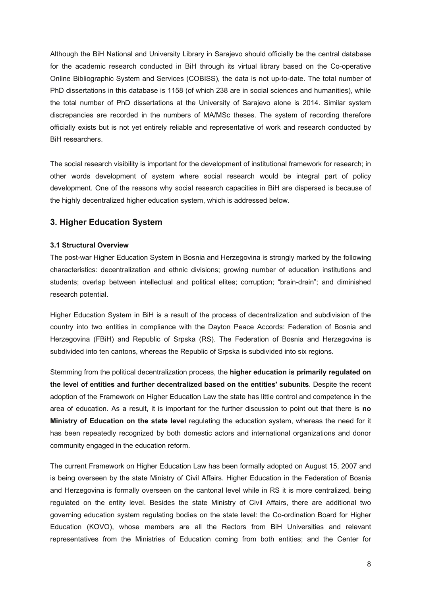<span id="page-7-0"></span>Although the BiH National and University Library in Sarajevo should officially be the central database for the academic research conducted in BiH through its virtual library based on the Co-operative Online Bibliographic System and Services (COBISS), the data is not up-to-date. The total number of PhD dissertations in this database is 1158 (of which 238 are in social sciences and humanities), while the total number of PhD dissertations at the University of Sarajevo alone is 2014. Similar system discrepancies are recorded in the numbers of MA/MSc theses. The system of recording therefore officially exists but is not yet entirely reliable and representative of work and research conducted by BiH researchers.

The social research visibility is important for the development of institutional framework for research; in other words development of system where social research would be integral part of policy development. One of the reasons why social research capacities in BiH are dispersed is because of the highly decentralized higher education system, which is addressed below.

# **3. Higher Education System**

## **3.1 Structural Overview**

The post-war Higher Education System in Bosnia and Herzegovina is strongly marked by the following characteristics: decentralization and ethnic divisions; growing number of education institutions and students; overlap between intellectual and political elites; corruption; "brain-drain"; and diminished research potential.

Higher Education System in BiH is a result of the process of decentralization and subdivision of the country into two entities in compliance with the Dayton Peace Accords: Federation of Bosnia and Herzegovina (FBiH) and Republic of Srpska (RS). The Federation of Bosnia and Herzegovina is subdivided into ten cantons, whereas the Republic of Srpska is subdivided into six regions.

Stemming from the political decentralization process, the **higher education is primarily regulated on the level of entities and further decentralized based on the entities' subunits**. Despite the recent adoption of the Framework on Higher Education Law the state has little control and competence in the area of education. As a result, it is important for the further discussion to point out that there is **no Ministry of Education on the state level** regulating the education system, whereas the need for it has been repeatedly recognized by both domestic actors and international organizations and donor community engaged in the education reform.

The current Framework on Higher Education Law has been formally adopted on August 15, 2007 and is being overseen by the state Ministry of Civil Affairs. Higher Education in the Federation of Bosnia and Herzegovina is formally overseen on the cantonal level while in RS it is more centralized, being regulated on the entity level. Besides the state Ministry of Civil Affairs, there are additional two governing education system regulating bodies on the state level: the Co-ordination Board for Higher Education (KOVO), whose members are all the Rectors from BiH Universities and relevant representatives from the Ministries of Education coming from both entities; and the Center for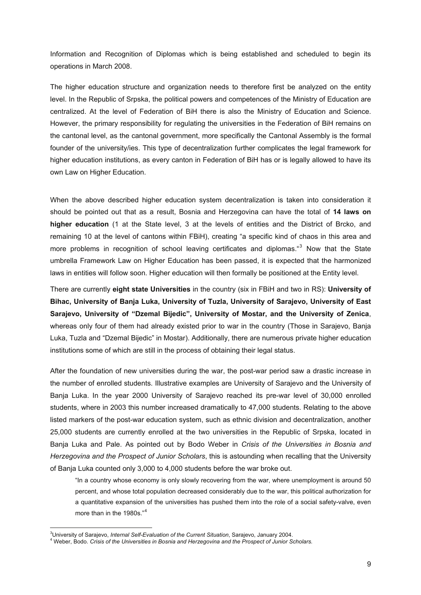<span id="page-8-0"></span>Information and Recognition of Diplomas which is being established and scheduled to begin its operations in March 2008.

The higher education structure and organization needs to therefore first be analyzed on the entity level. In the Republic of Srpska, the political powers and competences of the Ministry of Education are centralized. At the level of Federation of BiH there is also the Ministry of Education and Science. However, the primary responsibility for regulating the universities in the Federation of BiH remains on the cantonal level, as the cantonal government, more specifically the Cantonal Assembly is the formal founder of the university/ies. This type of decentralization further complicates the legal framework for higher education institutions, as every canton in Federation of BiH has or is legally allowed to have its own Law on Higher Education.

When the above described higher education system decentralization is taken into consideration it should be pointed out that as a result, Bosnia and Herzegovina can have the total of **14 laws on higher education** (1 at the State level, 3 at the levels of entities and the District of Brcko, and remaining 10 at the level of cantons within FBiH), creating "a specific kind of chaos in this area and more problems in recognition of school leaving certificates and diplomas."<sup>[3](#page-8-0)</sup> Now that the State umbrella Framework Law on Higher Education has been passed, it is expected that the harmonized laws in entities will follow soon. Higher education will then formally be positioned at the Entity level.

There are currently **eight state Universities** in the country (six in FBiH and two in RS): **University of Bihac, University of Banja Luka, University of Tuzla, University of Sarajevo, University of East Sarajevo, University of "Dzemal Bijedic", University of Mostar, and the University of Zenica**, whereas only four of them had already existed prior to war in the country (Those in Sarajevo, Banja Luka, Tuzla and "Dzemal Bijedic" in Mostar). Additionally, there are numerous private higher education institutions some of which are still in the process of obtaining their legal status.

After the foundation of new universities during the war, the post-war period saw a drastic increase in the number of enrolled students. Illustrative examples are University of Sarajevo and the University of Banja Luka. In the year 2000 University of Sarajevo reached its pre-war level of 30,000 enrolled students, where in 2003 this number increased dramatically to 47,000 students. Relating to the above listed markers of the post-war education system, such as ethnic division and decentralization, another 25,000 students are currently enrolled at the two universities in the Republic of Srpska, located in Banja Luka and Pale. As pointed out by Bodo Weber in *Crisis of the Universities in Bosnia and Herzegovina and the Prospect of Junior Scholars*, this is astounding when recalling that the University of Banja Luka counted only 3,000 to 4,000 students before the war broke out.

"In a country whose economy is only slowly recovering from the war, where unemployment is around 50 percent, and whose total population decreased considerably due to the war, this political authorization for a quantitative expansion of the universities has pushed them into the role of a social safety-valve, even more than in the 1980s."[4](#page-8-0)

 $\overline{a}$ 

<sup>&</sup>lt;sup>3</sup>University of Sarajevo, *Internal Self-Evaluation of the Current Situation*, Sarajevo, January 2004.<br><sup>4</sup> Weber, Rade, *Crisis of the Universities in Bearie and Harress ine and the Prespect of Juniar S* 

Weber, Bodo. *Crisis of the Universities in Bosnia and Herzegovina and the Prospect of Junior Scholars.*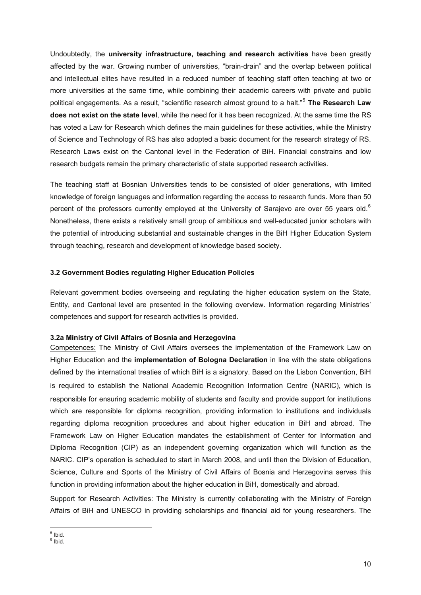<span id="page-9-0"></span>Undoubtedly, the **university infrastructure, teaching and research activities** have been greatly affected by the war. Growing number of universities, "brain-drain" and the overlap between political and intellectual elites have resulted in a reduced number of teaching staff often teaching at two or more universities at the same time, while combining their academic careers with private and public political engagements. As a result, "scientific research almost ground to a halt."[5](#page-9-0) **The Research Law does not exist on the state level**, while the need for it has been recognized. At the same time the RS has voted a Law for Research which defines the main guidelines for these activities, while the Ministry of Science and Technology of RS has also adopted a basic document for the research strategy of RS. Research Laws exist on the Cantonal level in the Federation of BiH. Financial constrains and low research budgets remain the primary characteristic of state supported research activities.

The teaching staff at Bosnian Universities tends to be consisted of older generations, with limited knowledge of foreign languages and information regarding the access to research funds. More than 50 percent of the professors currently employed at the University of Sarajevo are over 55 years old.<sup>[6](#page-9-0)</sup> Nonetheless, there exists a relatively small group of ambitious and well-educated junior scholars with the potential of introducing substantial and sustainable changes in the BiH Higher Education System through teaching, research and development of knowledge based society.

## **3.2 Government Bodies regulating Higher Education Policies**

Relevant government bodies overseeing and regulating the higher education system on the State, Entity, and Cantonal level are presented in the following overview. Information regarding Ministries' competences and support for research activities is provided.

## **3.2a Ministry of Civil Affairs of Bosnia and Herzegovina**

Competences: The Ministry of Civil Affairs oversees the implementation of the Framework Law on Higher Education and the **implementation of Bologna Declaration** in line with the state obligations defined by the international treaties of which BiH is a signatory. Based on the Lisbon Convention, BiH is required to establish the National Academic Recognition Information Centre (NARIC), which is responsible for ensuring academic mobility of students and faculty and provide support for institutions which are responsible for diploma recognition, providing information to institutions and individuals regarding diploma recognition procedures and about higher education in BiH and abroad. The Framework Law on Higher Education mandates the establishment of Center for Information and Diploma Recognition (CIP) as an independent governing organization which will function as the NARIC. CIP's operation is scheduled to start in March 2008, and until then the Division of Education, Science, Culture and Sports of the Ministry of Civil Affairs of Bosnia and Herzegovina serves this function in providing information about the higher education in BiH, domestically and abroad.

Support for Research Activities: The Ministry is currently collaborating with the Ministry of Foreign Affairs of BiH and UNESCO in providing scholarships and financial aid for young researchers. The

 $<sup>5</sup>$  Ibid.</sup>

<sup>&</sup>lt;sup>6</sup> Ibid.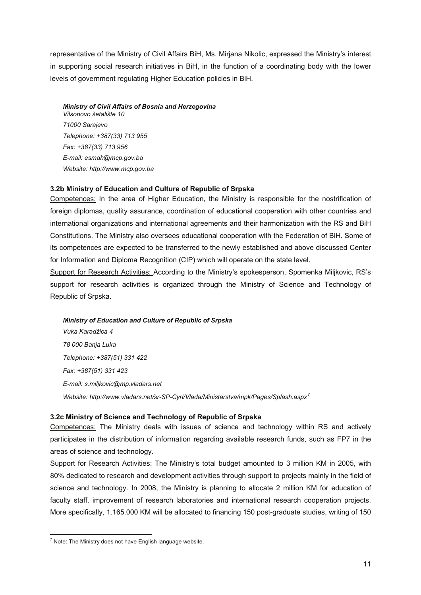<span id="page-10-0"></span>representative of the Ministry of Civil Affairs BiH, Ms. Mirjana Nikolic, expressed the Ministry's interest in supporting social research initiatives in BiH, in the function of a coordinating body with the lower levels of government regulating Higher Education policies in BiH.

#### *Ministry of Civil Affairs of Bosnia and Herzegovina*

*Vilsonovo šetalište 10 71000 Sarajevo Telephone: +387(33) 713 955 Fax: +387(33) 713 956 E-mail: [esmah@mcp.gov.ba](mailto:esmah@mcp.gov.ba)  Website: http://www.mcp.gov.ba* 

## **3.2b [Ministry of Education and Culture of Republic of Srpska](http://www.vladars.net/lt/min/mp.html)**

Competences: In the area of Higher Education, the Ministry is responsible for the nostrification of foreign diplomas, quality assurance, coordination of educational cooperation with other countries and international organizations and international agreements and their harmonization with the RS and BiH Constitutions. The Ministry also oversees educational cooperation with the Federation of BiH. Some of its competences are expected to be transferred to the newly established and above discussed Center for Information and Diploma Recognition (CIP) which will operate on the state level.

Support for Research Activities: According to the Ministry's spokesperson, Spomenka Miljkovic, RS's support for research activities is organized through the Ministry of Science and Technology of Republic of Srpska.

*[Ministry of Education and Culture of Republic of Srpska](http://www.vladars.net/lt/min/mp.html)  Vuka Karadžica 4 78 000 Banja Luka Telephone: +387(51) 331 422 Fax: +387(51) 331 423 E-mail: [s.miljkovic@mp.vladars.net](mailto:s.miljkovic@mp.vladars.net) Website: http://www.vladars.net/sr-SP-Cyrl/Vlada/Ministarstva/mpk/Pages/Splash.aspx[7](#page-10-0)*

## **3.2c Ministry of Science and Technology of Republic of Srpska**

Competences: The Ministry deals with issues of science and technology within RS and actively participates in the distribution of information regarding available research funds, such as FP7 in the areas of science and technology.

Support for Research Activities: The Ministry's total budget amounted to 3 million KM in 2005, with 80% dedicated to research and development activities through support to projects mainly in the field of science and technology. In 2008, the Ministry is planning to allocate 2 million KM for education of faculty staff, improvement of research laboratories and international research cooperation projects. More specifically, 1.165.000 KM will be allocated to financing 150 post-graduate studies, writing of 150

 $<sup>7</sup>$  Note: The Ministry does not have English language website.</sup>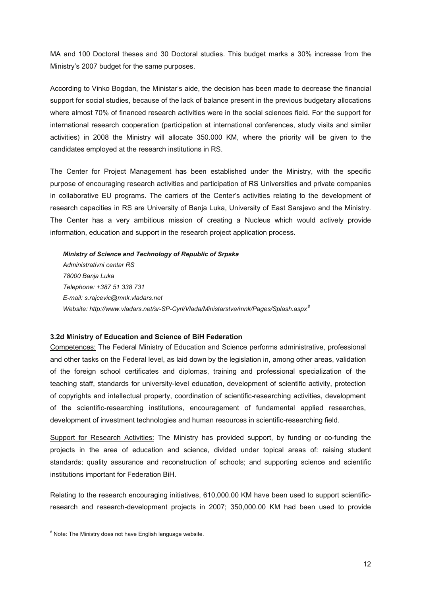<span id="page-11-0"></span>MA and 100 Doctoral theses and 30 Doctoral studies. This budget marks a 30% increase from the Ministry's 2007 budget for the same purposes.

According to Vinko Bogdan, the Ministar's aide, the decision has been made to decrease the financial support for social studies, because of the lack of balance present in the previous budgetary allocations where almost 70% of financed research activities were in the social sciences field. For the support for international research cooperation (participation at international conferences, study visits and similar activities) in 2008 the Ministry will allocate 350.000 KM, where the priority will be given to the candidates employed at the research institutions in RS.

The Center for Project Management has been established under the Ministry, with the specific purpose of encouraging research activities and participation of RS Universities and private companies in collaborative EU programs. The carriers of the Center's activities relating to the development of research capacities in RS are University of Banja Luka, University of East Sarajevo and the Ministry. The Center has a very ambitious mission of creating a Nucleus which would actively provide information, education and support in the research project application process.

*Ministry of Science and Technology of Republic of Srpska Administrativni centar RS 78000 Banja Luka Telephone: +387 51 338 731 E-mail: [s.rajcevic@mnk.vladars.net](mailto:s.rajcevic@mnk.vladars.net)  Website:<http://www.vladars.net/sr-SP-Cyrl/Vlada/Ministarstva/mnk/Pages/Splash.aspx>[8](#page-11-0)*

#### **3.2d [Ministry of Education and Science of BiH Federation](http://www.fmon.gov.ba/)**

Competences: The Federal Ministry of Education and Science performs administrative, professional and other tasks on the Federal level, as laid down by the legislation in, among other areas, validation of the foreign school certificates and diplomas, training and professional specialization of the teaching staff, standards for university-level education, development of scientific activity, protection of copyrights and intellectual property, coordination of scientific-researching activities, development of the scientific-researching institutions, encouragement of fundamental applied researches, development of investment technologies and human resources in scientific-researching field.

Support for Research Activities: The Ministry has provided support, by funding or co-funding the projects in the area of education and science, divided under topical areas of: raising student standards; quality assurance and reconstruction of schools; and supporting science and scientific institutions important for Federation BiH.

Relating to the research encouraging initiatives, 610,000.00 KM have been used to support scientificresearch and research-development projects in 2007; 350,000.00 KM had been used to provide

 $\overline{a}$ <sup>8</sup> Note: The Ministry does not have English language website.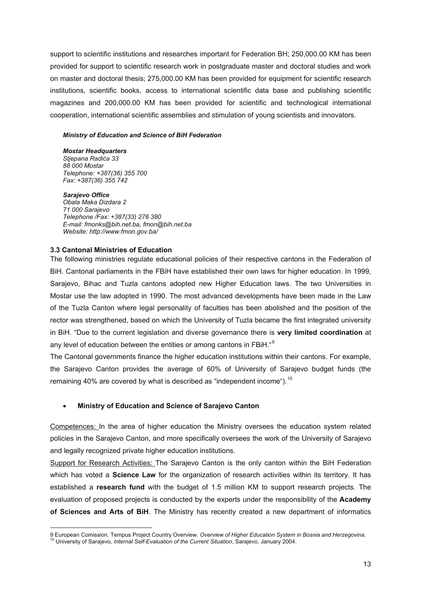<span id="page-12-0"></span>support to scientific institutions and researches important for Federation BH; 250,000.00 KM has been provided for support to scientific research work in postgraduate master and doctoral studies and work on master and doctoral thesis; 275,000.00 KM has been provided for equipment for scientific research institutions, scientific books, access to international scientific data base and publishing scientific magazines and 200,000.00 KM has been provided for scientific and technological international cooperation, international scientific assemblies and stimulation of young scientists and innovators.

#### *[Ministry of Education and Science of BiH Federation](http://www.fmon.gov.ba/)*

*Mostar Headquarters Stjepana Radića 33 88 000 Mostar Telephone: +387(36) 355 700 Fax: +387(36) 355 742* 

*Sarajevo Office Obala Maka Dizdara 2 71 000 Sarajevo Telephone /Fax: +387(33) 276 380 E-mail: [fmonks@bih.net.ba](mailto:fmonks@bih.net.ba), [fmon@bih.net.ba](mailto:fmon@bih.net.ba)  Website: http://www.fmon.gov.ba/* 

#### **3.3 Cantonal Ministries of Education**

 $\overline{a}$ 

The following ministries regulate educational policies of their respective cantons in the Federation of BiH. Cantonal parliaments in the FBiH have established their own laws for higher education. In 1999, Sarajevo, Bihac and Tuzla cantons adopted new Higher Education laws. The two Universities in Mostar use the law adopted in 1990. The most advanced developments have been made in the Law of the Tuzla Canton where legal personality of faculties has been abolished and the position of the rector was strengthened, based on which the University of Tuzla became the first integrated university in BiH. "Due to the current legislation and diverse governance there is **very limited coordination** at any level of education between the entities or among cantons in FBiH."<sup>[9](#page-12-0)</sup>

The Cantonal governments finance the higher education institutions within their cantons. For example, the Sarajevo Canton provides the average of 60% of University of Sarajevo budget funds (the remaining 40% are covered by what is described as "independent income").<sup>[10](#page-12-0)</sup>

#### • **[Ministry of Education and Science of Sarajevo Canton](http://www.monks.ba/)**

Competences: In the area of higher education the Ministry oversees the education system related policies in the Sarajevo Canton, and more specifically oversees the work of the University of Sarajevo and legally recognized private higher education institutions.

Support for Research Activities: The Sarajevo Canton is the only canton within the BiH Federation which has voted a **Science Law** for the organization of research activities within its territory. It has established a **research fund** with the budget of 1.5 million KM to support research projects. The evaluation of proposed projects is conducted by the experts under the responsibility of the **Academy of Sciences and Arts of BiH**. The Ministry has recently created a new department of informatics

<sup>9</sup> European Comission. Tempus Project Country Overview. Overview of Higher Education System in Bosnia and Herzegovina.<br><sup>10</sup> University of Sarajevo, Internal Self-Evaluation of the Current Situation, Sarajevo, January 2004.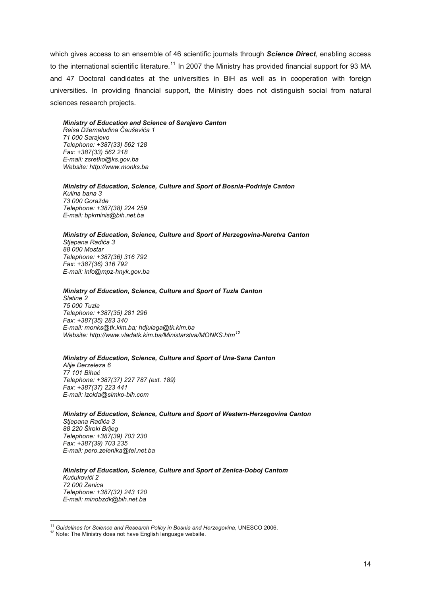<span id="page-13-0"></span>which gives access to an ensemble of 46 scientific journals through *Science Direct*, enabling access to the international scientific literature.<sup>[11](#page-13-0)</sup> In 2007 the Ministry has provided financial support for 93 MA and 47 Doctoral candidates at the universities in BiH as well as in cooperation with foreign universities. In providing financial support, the Ministry does not distinguish social from natural sciences research projects.

*[Ministry of Education and Science of Sarajevo Canton](http://www.monks.ba/)  Reisa Džemaludina Čauševića 1 71 000 Sarajevo Telephone: +387(33) 562 128 Fax: +387(33) 562 218 E-mail: zsretko@ks.gov.ba Website: http://www.monks.ba* 

*[Ministry of Education, Science, Culture and Sport of Bosnia-Podrinje Canton](http://www.bpkgo.ba/en/government.html)  Kulina bana 3 73 000 Goražde Telephone: +387(38) 224 259 E-mail: bpkminis@bih.net.ba* 

#### *[Ministry of Education, Science, Culture and Sport of Herzegovina-Neretva Canton](http://www.mpzks-hnzk.gov.ba/)  Stjepana Radića 3*

*88 000 Mostar Telephone: +387(36) 316 792 Fax: +387(36) 316 792 E-mail: info@mpz-hnyk.gov.ba* 

#### *[Ministry of Education, Science, Culture and Sport of Tuzla Canton](http://www.monkstk.ba/)*

*Slatine 2 75 000 Tuzla Telephone: +387(35) 281 296 Fax: +387(35) 283 340 E-mail: monks@tk.kim.ba; hdjulaga@tk.kim.ba Website: http://www.vladatk.kim.ba/Ministarstva/MONKS.htm[12](#page-13-0)* 

#### *[Ministry of Education, Science, Culture and Sport of Una-Sana Canton](http://www.vladausk.mapabih.com/index.php?&s_id=936&c=sadrzaj)*

*Alije Đerzeleza 6 77 101 Bihać Telephone: +387(37) 227 787 (ext. 189) Fax: +387(37) 223 441 E-mail: izolda@simko-bih.com* 

*[Ministry of Education, Science, Culture and Sport of Western-Herzegovina Canton](http://www.minpro-zzh.gov.ba/)  Stjepana Radića 3 88 220 Široki Brijeg Telephone: +387(39) 703 230 Fax: +387(39) 703 235 E-mail: pero.zelenika@tel.net.ba*

*[Ministry of Education, Science, Culture and Sport of Zenica-Doboj Cantom](http://www.zdk.ba/Ministarstva/Ministarstvo%20za%20obrazovanje/Ministarstvo_za_obrazovanje.htm)  Kućukovići 2 72 000 Zenica Telephone: +387(32) 243 120 E-mail: minobzdk@bih.net.ba* 

 $\overline{a}$ 

<sup>&</sup>lt;sup>11</sup> G*uidelines for Science and Research Policy in Bosnia and Herzegovina*, UNESCO 2006.<br><sup>12</sup> Note: The Ministry does not have English language website.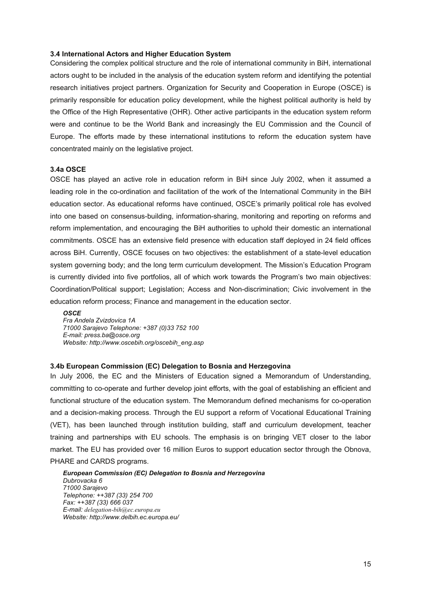#### <span id="page-14-0"></span>**3.4 International Actors and Higher Education System**

Considering the complex political structure and the role of international community in BiH, international actors ought to be included in the analysis of the education system reform and identifying the potential research initiatives project partners. Organization for Security and Cooperation in Europe (OSCE) is primarily responsible for education policy development, while the highest political authority is held by the Office of the High Representative (OHR). Other active participants in the education system reform were and continue to be the World Bank and increasingly the EU Commission and the Council of Europe. The efforts made by these international institutions to reform the education system have concentrated mainly on the legislative project.

## **3.4a OSCE**

OSCE has played an active role in education reform in BiH since July 2002, when it assumed a leading role in the co-ordination and facilitation of the work of the International Community in the BiH education sector. As educational reforms have continued, OSCE's primarily political role has evolved into one based on consensus-building, information-sharing, monitoring and reporting on reforms and reform implementation, and encouraging the BiH authorities to uphold their domestic an international commitments. OSCE has an extensive field presence with education staff deployed in [24 field offices](http://www.oscebih.org/overview/field.asp?d=7) across BiH. Currently, OSCE focuses on two objectives: the establishment of a state-level education system governing body; and the long term curriculum development. The Mission's Education Program is currently divided into five portfolios, all of which work towards the Program's two main objectives: Coordination/Political support; [Legislation](http://www.oscebih.org/education/legislation.asp); [Access and Non-discrimination;](http://www.oscebih.org/education/access.asp) [Civic involvement in the](http://www.oscebih.org/education/civicschools.asp)  [education reform process;](http://www.oscebih.org/education/civicschools.asp) Finance and management in the education sector.

*OSCE Fra Andela Zvizdovica 1A 71000 Sarajevo Telephone: +387 (0)33 752 100 E-mail: [press.ba@osce.org](mailto:press.ba@osce.org)  Website: http://www.oscebih.org/oscebih\_eng.asp* 

#### **3.4b European Commission (EC) Delegation to Bosnia and Herzegovina**

In July 2006, the EC and the Ministers of Education signed a Memorandum of Understanding, committing to co-operate and further develop joint efforts, with the goal of establishing an efficient and functional structure of the education system. The Memorandum defined mechanisms for co-operation and a decision-making process. Through the EU support a reform of Vocational Educational Training (VET), has been launched through institution building, staff and curriculum development, teacher training and partnerships with EU schools. The emphasis is on bringing VET closer to the labor market. The EU has provided over 16 million Euros to support education sector through the Obnova, PHARE and CARDS programs.

*European Commission (EC) Delegation to Bosnia and Herzegovina Dubrovacka 6 71000 Sarajevo Telephone: ++387 (33) 254 700 Fax: ++387 (33) 666 037 E-mail: [delegation-bih@ec.europa.eu](mailto:delegation-bih@ec.europa.eu)  Website: http://www.delbih.ec.europa.eu/*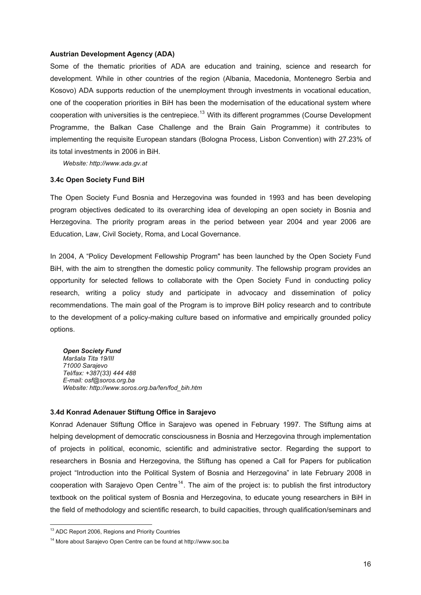#### <span id="page-15-0"></span>**Austrian Development Agency (ADA)**

Some of the thematic priorities of ADA are education and training, science and research for development. While in other countries of the region (Albania, Macedonia, Montenegro Serbia and Kosovo) ADA supports reduction of the unemployment through investments in vocational education, one of the cooperation priorities in BiH has been the modernisation of the educational system where cooperation with universities is the centrepiece.<sup>[13](#page-15-0)</sup> With its different programmes (Course Development Programme, the Balkan Case Challenge and the Brain Gain Programme) it contributes to implementing the requisite European standars (Bologna Process, Lisbon Convention) with 27.23% of its total investments in 2006 in BiH.

*Website: [http://www.ada.gv.at](http://www.ada.gv.at/)* 

#### **3.4c Open Society Fund BiH**

The Open Society Fund Bosnia and Herzegovina was founded in 1993 and has been developing program objectives dedicated to its overarching idea of developing an open society in Bosnia and Herzegovina. The priority program areas in the period between year 2004 and year 2006 are Education, Law, Civil Society, Roma, and Local Governance.

In 2004, A "Policy Development Fellowship Program" has been launched by the Open Society Fund BiH, with the aim to strengthen the domestic policy community. The fellowship program provides an opportunity for selected fellows to collaborate with the Open Society Fund in conducting policy research, writing a policy study and participate in advocacy and dissemination of policy recommendations. The main goal of the Program is to improve BiH policy research and to contribute to the development of a policy-making culture based on informative and empirically grounded policy options.

*Open Society Fund Maršala Tita 19/III 71000 Sarajevo Tel/fax: +387(33) 444 488 E-mail: [osf@soros.org.ba](mailto:osf@soros.org.ba)  Website: http://www.soros.org.ba/!en/fod\_bih.htm* 

## **3.4d Konrad Adenauer Stiftung Office in Sarajevo**

Konrad Adenauer Stiftung Office in Sarajevo was opened in February 1997. The Stiftung aims at helping development of democratic consciousness in Bosnia and Herzegovina through implementation of projects in political, economic, scientific and administrative sector. Regarding the support to researchers in Bosnia and Herzegovina, the Stiftung has opened a Call for Papers for publication project "Introduction into the Political System of Bosnia and Herzegovina" in late February 2008 in cooperation with Sarajevo Open Centre<sup>[14](#page-15-0)</sup>. The aim of the project is: to publish the first introductory textbook on the political system of Bosnia and Herzegovina, to educate young researchers in BiH in the field of methodology and scientific research, to build capacities, through qualification/seminars and

 $\overline{a}$ 

<sup>&</sup>lt;sup>13</sup> ADC Report 2006, Regions and Priority Countries

<sup>14</sup> More about Sarajevo Open Centre can be found at [http://www.soc.ba](http://www.soc.ba/)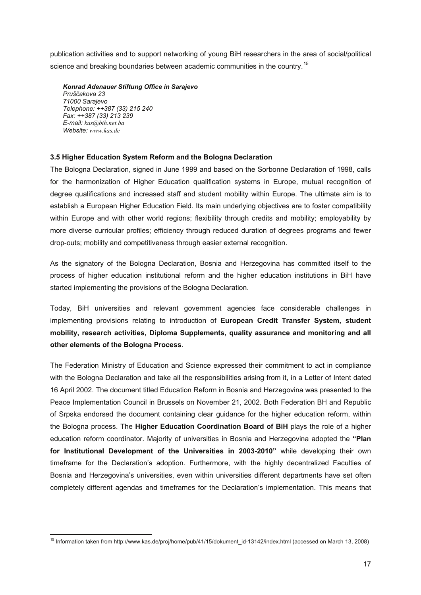<span id="page-16-0"></span>publication activities and to support networking of young BiH researchers in the area of social/political science and breaking boundaries between academic communities in the country.<sup>[15](#page-16-0)</sup>

*Konrad Adenauer Stiftung Office in Sarajevo Pruščakova 23 71000 Sarajevo Telephone: ++387 (33) 215 240 Fax: ++387 (33) 213 239 E-mail: [kas@bih.net.ba](mailto:kas@bih.net.ba) Website: [www.kas.de](http://www.kas.de/)* 

## **3.5 Higher Education System Reform and the Bologna Declaration**

The Bologna Declaration, signed in June 1999 and based on the Sorbonne Declaration of 1998, calls for the harmonization of Higher Education qualification systems in Europe, mutual recognition of degree qualifications and increased staff and student mobility within Europe. The ultimate aim is to establish a European Higher Education Field. Its main underlying objectives are to foster compatibility within Europe and with other world regions; flexibility through credits and mobility; employability by more diverse curricular profiles; efficiency through reduced duration of degrees programs and fewer drop-outs; mobility and competitiveness through easier external recognition.

As the signatory of the Bologna Declaration, Bosnia and Herzegovina has committed itself to the process of higher education institutional reform and the higher education institutions in BiH have started implementing the provisions of the Bologna Declaration.

Today, BiH universities and relevant government agencies face considerable challenges in implementing provisions relating to introduction of **European Credit Transfer System, student mobility, research activities, Diploma Supplements, quality assurance and monitoring and all other elements of the Bologna Process**.

The Federation Ministry of Education and Science expressed their commitment to act in compliance with the Bologna Declaration and take all the responsibilities arising from it, in a Letter of Intent dated 16 April 2002. The document titled Education Reform in Bosnia and Herzegovina was presented to the Peace Implementation Council in Brussels on November 21, 2002. Both Federation BH and Republic of Srpska endorsed the document containing clear guidance for the higher education reform, within the Bologna process. The **Higher Education Coordination Board of BiH** plays the role of a higher education reform coordinator. Majority of universities in Bosnia and Herzegovina adopted the **"Plan for Institutional Development of the Universities in 2003-2010"** while developing their own timeframe for the Declaration's adoption. Furthermore, with the highly decentralized Faculties of Bosnia and Herzegovina's universities, even within universities different departments have set often completely different agendas and timeframes for the Declaration's implementation. This means that

 15 Information taken from [http://www.kas.de/proj/home/pub/41/15/dokument\\_id-13142/index.html](http://www.kas.de/proj/home/pub/41/15/dokument_id-13142/index.html) (accessed on March 13, 2008)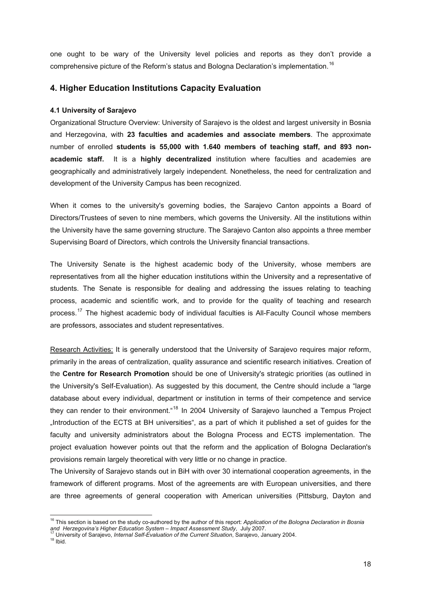<span id="page-17-0"></span>one ought to be wary of the University level policies and reports as they don't provide a comprehensive picture of the Reform's status and Bologna Declaration's implementation.<sup>[16](#page-17-0)</sup>

# **4. Higher Education Institutions Capacity Evaluation**

## **4.1 University of Sarajevo**

Organizational Structure Overview: University of Sarajevo is the oldest and largest university in Bosnia and Herzegovina, with **23 faculties and academies and associate members**. The approximate number of enrolled **students is 55,000 with 1.640 members of teaching staff, and 893 nonacademic staff.** It is a **highly decentralized** institution where faculties and academies are geographically and administratively largely independent. Nonetheless, the need for centralization and development of the University Campus has been recognized.

When it comes to the university's governing bodies, the Sarajevo Canton appoints a Board of Directors/Trustees of seven to nine members, which governs the University. All the institutions within the University have the same governing structure. The Sarajevo Canton also appoints a three member Supervising Board of Directors, which controls the University financial transactions.

The University Senate is the highest academic body of the University, whose members are representatives from all the higher education institutions within the University and a representative of students. The Senate is responsible for dealing and addressing the issues relating to teaching process, academic and scientific work, and to provide for the quality of teaching and research process.<sup>[17](#page-17-0)</sup> The highest academic body of individual faculties is All-Faculty Council whose members are professors, associates and student representatives.

Research Activities: It is generally understood that the University of Sarajevo requires major reform, primarily in the areas of centralization, quality assurance and scientific research initiatives. Creation of the **Centre for Research Promotion** should be one of University's strategic priorities (as outlined in the University's Self-Evaluation). As suggested by this document, the Centre should include a "large database about every individual, department or institution in terms of their competence and service they can render to their environment.<sup>"[18](#page-17-0)</sup> In 2004 University of Sarajevo launched a Tempus Project "Introduction of the ECTS at BH universities", as a part of which it published a set of guides for the faculty and university administrators about the Bologna Process and ECTS implementation. The project evaluation however points out that the reform and the application of Bologna Declaration's provisions remain largely theoretical with very little or no change in practice.

The University of Sarajevo stands out in BiH with over 30 international cooperation agreements, in the framework of different programs. Most of the agreements are with European universities, and there are three agreements of general cooperation with American universities (Pittsburg, Dayton and

 $\overline{a}$ <sup>16</sup> This section is based on the study co-authored by the author of this report: Application of the Bologna Declaration in Bosnia *and Herzegovina's Higher Education System – Impact Assessment Study, July 2007.* 17 University of Sarajevo, *Internal Self-Evaluation of the Current Situation*, Sarajevo, January 2004.<br><sup>17</sup> University of Sarajevo, *Intern*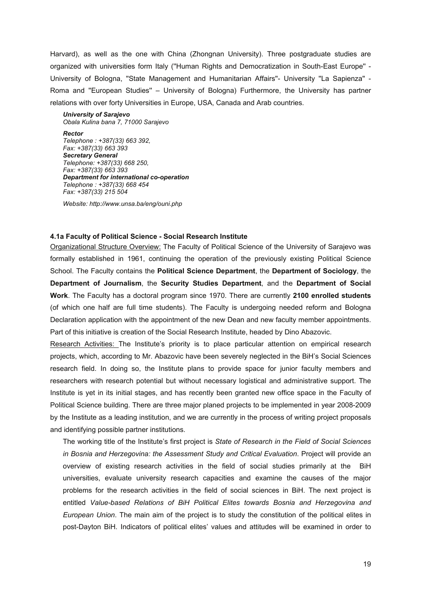<span id="page-18-0"></span>Harvard), as well as the one with China (Zhongnan University). Three postgraduate studies are organized with universities form Italy (''Human Rights and Democratization in South-East Europe'' - University of Bologna, ''State Management and Humanitarian Affairs''- University ''La Sapienza'' - Roma and ''European Studies'' – University of Bologna) Furthermore, the University has partner relations with over forty Universities in Europe, USA, Canada and Arab countries.

*University of Sarajevo Obala Kulina bana 7, 71000 Sarajevo*

*Rector Telephone : +387(33) 663 392, Fax: +387(33) 663 393 Secretary General Telephone: +387(33) 668 250, Fax: +387(33) 663 393 Department for international co-operation Telephone : +387(33) 668 454 Fax: +387(33) 215 504* 

*Website:<http://www.unsa.ba/eng/ouni.php>*

## **4.1a Faculty of Political Science - Social Research Institute**

Organizational Structure Overview: The Faculty of Political Science of the University of Sarajevo was formally established in 1961, continuing the operation of the previously existing Political Science School. The Faculty contains the **Political Science Department**, the **Department of Sociology**, the **Department of Journalism**, the **Security Studies Department**, and the **Department of Social Work**. The Faculty has a doctoral program since 1970. There are currently **2100 enrolled students** (of which one half are full time students). The Faculty is undergoing needed reform and Bologna Declaration application with the appointment of the new Dean and new faculty member appointments. Part of this initiative is creation of the Social Research Institute, headed by Dino Abazovic.

Research Activities: The Institute's priority is to place particular attention on empirical research projects, which, according to Mr. Abazovic have been severely neglected in the BiH's Social Sciences research field. In doing so, the Institute plans to provide space for junior faculty members and researchers with research potential but without necessary logistical and administrative support. The Institute is yet in its initial stages, and has recently been granted new office space in the Faculty of Political Science building. There are three major planed projects to be implemented in year 2008-2009 by the Institute as a leading institution, and we are currently in the process of writing project proposals and identifying possible partner institutions.

The working title of the Institute's first project is *State of Research in the Field of Social Sciences in Bosnia and Herzegovina: the Assessment Study and Critical Evaluation*. Project will provide an overview of existing research activities in the field of social studies primarily at the BiH universities, evaluate university research capacities and examine the causes of the major problems for the research activities in the field of social sciences in BiH. The next project is entitled *Value-based Relations of BiH Political Elites towards Bosnia and Herzegovina and European Union*. The main aim of the project is to study the constitution of the political elites in post-Dayton BiH. Indicators of political elites' values and attitudes will be examined in order to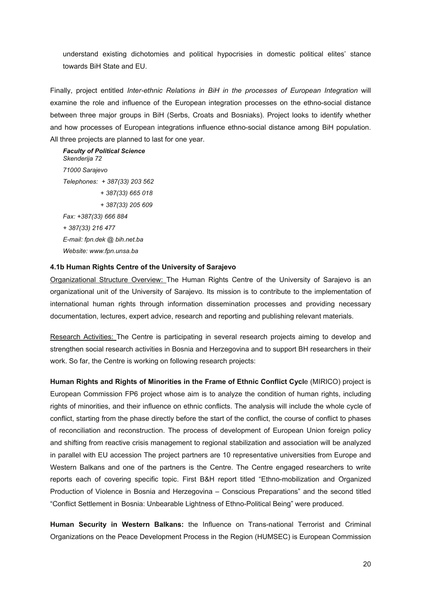<span id="page-19-0"></span>understand existing dichotomies and political hypocrisies in domestic political elites' stance towards BiH State and EU.

Finally, project entitled *Inter-ethnic Relations in BiH in the processes of European Integration* will examine the role and influence of the European integration processes on the ethno-social distance between three major groups in BiH (Serbs, Croats and Bosniaks). Project looks to identify whether and how processes of European integrations influence ethno-social distance among BiH population. All three projects are planned to last for one year.

*Faculty of Political Science Skenderija 72 71000 Sarajevo Telephones: + 387(33) 203 562 + 387(33) 665 018 + 387(33) 205 609 Fax: +387(33) 666 884 + 387(33) 216 477 E-mail: fpn.dek @ bih.net.ba Website: www.fpn.unsa.ba* 

## **4.1b Human Rights Centre of the University of Sarajevo**

Organizational Structure Overview: The Human Rights Centre of the University of Sarajevo is an organizational unit of the University of Sarajevo. Its mission is to contribute to the implementation of international human rights through information dissemination processes and providing necessary documentation, lectures, expert advice, research and reporting and publishing relevant materials.

Research Activities: The Centre is participating in several research projects aiming to develop and strengthen social research activities in Bosnia and Herzegovina and to support BH researchers in their work. So far, the Centre is working on following research projects:

**Human Rights and Rights of Minorities in the Frame of Ethnic Conflict Cycl**e (MIRICO) project is European Commission FP6 project whose aim is to analyze the condition of human rights, including rights of minorities, and their influence on ethnic conflicts. The analysis will include the whole cycle of conflict, starting from the phase directly before the start of the conflict, the course of conflict to phases of reconciliation and reconstruction. The process of development of European Union foreign policy and shifting from reactive crisis management to regional stabilization and association will be analyzed in parallel with EU accession The project partners are 10 representative universities from Europe and Western Balkans and one of the partners is the Centre. The Centre engaged researchers to write reports each of covering specific topic. First B&H report titled "Ethno-mobilization and Organized Production of Violence in Bosnia and Herzegovina – Conscious Preparations" and the second titled "Conflict Settlement in Bosnia: Unbearable Lightness of Ethno-Political Being" were produced.

**Human Security in Western Balkans:** the Influence on Trans-national Terrorist and Criminal Organizations on the Peace Development Process in the Region (HUMSEC) is European Commission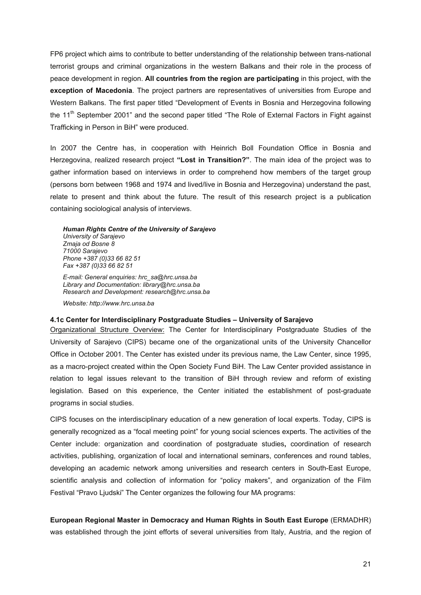<span id="page-20-0"></span>FP6 project which aims to contribute to better understanding of the relationship between trans-national terrorist groups and criminal organizations in the western Balkans and their role in the process of peace development in region. **All countries from the region are participating** in this project, with the **exception of Macedonia**. The project partners are representatives of universities from Europe and Western Balkans. The first paper titled "Development of Events in Bosnia and Herzegovina following the  $11<sup>th</sup>$  September 2001" and the second paper titled "The Role of External Factors in Fight against Trafficking in Person in BiH" were produced.

In 2007 the Centre has, in cooperation with Heinrich Boll Foundation Office in Bosnia and Herzegovina, realized research project **"Lost in Transition?"**. The main idea of the project was to gather information based on interviews in order to comprehend how members of the target group (persons born between 1968 and 1974 and lived/live in Bosnia and Herzegovina) understand the past, relate to present and think about the future. The result of this research project is a publication containing sociological analysis of interviews.

*Human Rights Centre of the University of Sarajevo University of Sarajevo Zmaja od Bosne 8 71000 Sarajevo Phone +387 (0)33 66 82 51 Fax +387 (0)33 66 82 51* 

*E-mail: General enquiries: [hrc\\_sa@hrc.unsa.ba](mailto:hrc_sa@hrc.unsa.ba) Library and Documentation: [library@hrc.unsa.ba](mailto:library@hrc.unsa.ba) Research and Development: [research@hrc.unsa.ba](mailto:research@hrc.unsa.ba)* 

*Website: http://www.hrc.unsa.ba* 

#### **4.1c Center for Interdisciplinary Postgraduate Studies – University of Sarajevo**

Organizational Structure Overview: The Center for Interdisciplinary Postgraduate Studies of the University of Sarajevo (CIPS) became one of the organizational units of the University Chancellor Office in October 2001. The Center has existed under its previous name, the Law Center, since 1995, as a macro-project created within the Open Society Fund BiH. The Law Center provided assistance in relation to legal issues relevant to the transition of BiH through review and reform of existing legislation. Based on this experience, the Center initiated the establishment of post-graduate programs in social studies.

CIPS focuses on the interdisciplinary education of a new generation of local experts. Today, CIPS is generally recognized as a "focal meeting point" for young social sciences experts. The activities of the Center include: organization and coordination of postgraduate studies**,** coordination of research activities, publishing, organization of local and international seminars, conferences and round tables, developing an academic network among universities and research centers in South-East Europe, scientific analysis and collection of information for "policy makers", and organization of the Film Festival "Pravo Liudski" The Center organizes the following four MA programs:

**European Regional Master in Democracy and Human Rights in South East Europe** (ERMADHR) was established through the joint efforts of several universities from Italy, Austria, and the region of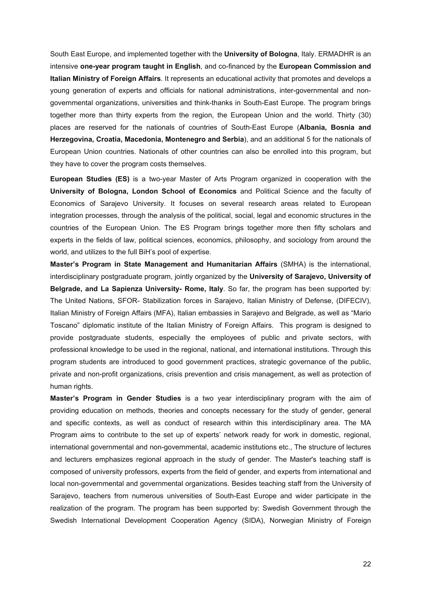South East Europe, and implemented together with the **University of Bologna**, Italy. ERMADHR is an intensive **one-year program taught in English**, and co-financed by the **European Commission and Italian Ministry of Foreign Affairs**. It represents an educational activity that promotes and develops a young generation of experts and officials for national administrations, inter-governmental and nongovernmental organizations, universities and think-thanks in South-East Europe. The program brings together more than thirty experts from the region, the European Union and the world. Thirty (30) places are reserved for the nationals of countries of South-East Europe (**Albania, Bosnia and Herzegovina, Croatia, Macedonia, Montenegro and Serbia**), and an additional 5 for the nationals of European Union countries. Nationals of other countries can also be enrolled into this program, but they have to cover the program costs themselves.

**European Studies (ES)** is a two-year Master of Arts Program organized in cooperation with the **University of Bologna, London School of Economics** and Political Science and the faculty of Economics of Sarajevo University. It focuses on several research areas related to European integration processes, through the analysis of the political, social, legal and economic structures in the countries of the European Union. The ES Program brings together more then fifty scholars and experts in the fields of law, political sciences, economics, philosophy, and sociology from around the world, and utilizes to the full BiH's pool of expertise.

**Master's Program in State Management and Humanitarian Affairs** (SMHA) is the international, interdisciplinary postgraduate program, jointly organized by the **University of Sarajevo, University of Belgrade, and La Sapienza University- Rome, Italy**. So far, the program has been supported by: The United Nations, SFOR- Stabilization forces in Sarajevo, Italian Ministry of Defense, (DIFECIV), Italian Ministry of Foreign Affairs (MFA), Italian embassies in Sarajevo and Belgrade, as well as "Mario Toscano" diplomatic institute of the Italian Ministry of Foreign Affairs. This program is designed to provide postgraduate students, especially the employees of public and private sectors, with professional knowledge to be used in the regional, national, and international institutions. Through this program students are introduced to good government practices, strategic governance of the public, private and non-profit organizations, crisis prevention and crisis management, as well as protection of human rights.

**Master's Program in Gender Studies** is a two year interdisciplinary program with the aim of providing education on methods, theories and concepts necessary for the study of gender, general and specific contexts, as well as conduct of research within this interdisciplinary area. The MA Program aims to contribute to the set up of experts' network ready for work in domestic, regional, international governmental and non-governmental, academic institutions etc., The structure of lectures and lecturers emphasizes regional approach in the study of gender. The Master's teaching staff is composed of university professors, experts from the field of gender, and experts from international and local non-governmental and governmental organizations. Besides teaching staff from the University of Sarajevo, teachers from numerous universities of South-East Europe and wider participate in the realization of the program. The program has been supported by: Swedish Government through the Swedish International Development Cooperation Agency (SIDA), Norwegian Ministry of Foreign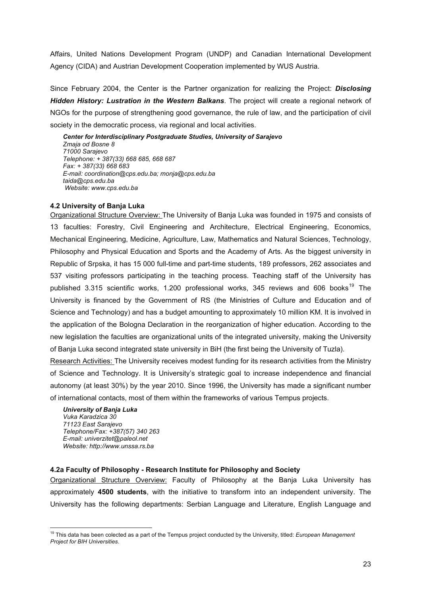<span id="page-22-0"></span>Affairs, United Nations Development Program (UNDP) and Canadian International Development Agency (CIDA) and Austrian Development Cooperation implemented by WUS Austria.

Since February 2004, the Center is the Partner organization for realizing the Project: *Disclosing Hidden History: Lustration in the Western Balkans*. The project will create a regional network of NGOs for the purpose of strengthening good governance, the rule of law, and the participation of civil society in the democratic process, via regional and local activities.

*Center for Interdisciplinary Postgraduate Studies, University of Sarajevo Zmaja od Bosne 8 71000 Sarajevo Telephone: + 387(33) 668 685, 668 687 Fax: + 387(33) 668 683 E-mail: coordination@cps.edu.ba; [monja@cps.edu.ba](mailto:monja@cps.edu.ba)  [taida@cps.edu.ba](mailto:taida@cps.edu.ba)  Website: www.cps.edu.ba* 

## **4.2 University of Banja Luka**

Organizational Structure Overview: The University of Banja Luka was founded in 1975 and consists of 13 faculties: Forestry, Civil Engineering and Architecture, Electrical Engineering, Economics, Mechanical Engineering, Medicine, Agriculture, Law, Mathematics and Natural Sciences, Technology, Philosophy and Physical Education and Sports and the Academy of Arts. As the biggest university in Republic of Srpska, it has 15 000 full-time and part-time students, 189 professors, 262 associates and 537 visiting professors participating in the teaching process. Teaching staff of the University has published 3.315 scientific works, 1.200 professional works, 345 reviews and 606 books<sup>[19](#page-22-0)</sup> The University is financed by the Government of RS (the Ministries of Culture and Education and of Science and Technology) and has a budget amounting to approximately 10 million KM. It is involved in the application of the Bologna Declaration in the reorganization of higher education. According to the new legislation the faculties are organizational units of the integrated university, making the University of Banja Luka second integrated state university in BiH (the first being the University of Tuzla).

Research Activities: The University receives modest funding for its research activities from the Ministry of Science and Technology. It is University's strategic goal to increase independence and financial autonomy (at least 30%) by the year 2010. Since 1996, the University has made a significant number of international contacts, most of them within the frameworks of various Tempus projects.

*University of Banja Luka Vuka Karadzica 30 71123 East Sarajevo Telephone/Fax: +387(57) 340 263 E-mail: univerzitet@paleol.net Website: http://www.unssa.rs.ba* 

 $\overline{a}$ 

## **4.2a Faculty of Philosophy - Research Institute for Philosophy and Society**

Organizational Structure Overview: Faculty of Philosophy at the Banja Luka University has approximately **4500 students**, with the initiative to transform into an independent university. The University has the following departments: Serbian Language and Literature, English Language and

<sup>19</sup> This data has been colected as a part of the Tempus project conducted by the University, titled: *European Management Project for BIH Universities*.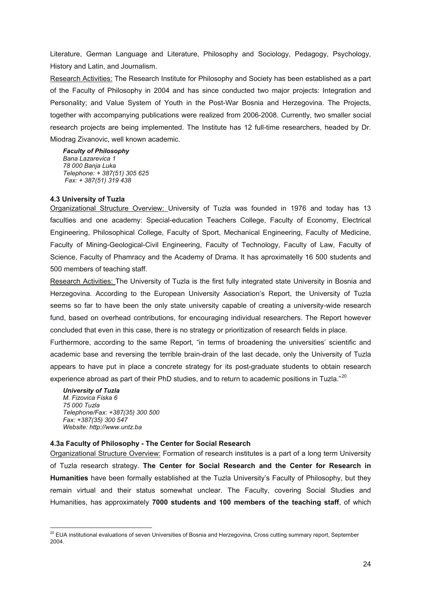<span id="page-23-0"></span>Literature, German Language and Literature, Philosophy and Sociology, Pedagogy, Psychology, History and Latin, and Journalism.

Research Activities: The Research Institute for Philosophy and Society has been established as a part of the Faculty of Philosophy in 2004 and has since conducted two major projects: Integration and Personality; and Value System of Youth in the Post-War Bosnia and Herzegovina. The Projects, together with accompanying publications were realized from 2006-2008. Currently, two smaller social research projects are being implemented. The Institute has 12 full-time researchers, headed by Dr. Miodrag Zivanovic, well known academic.

*Faculty of Philosophy Bana Lazarevica 1 78 000 Banja Luka Telephone: + 387(51) 305 625 Fax: + 387(51) 319 438* 

## **4.3 [University of Tuzla](http://www.untz.ba/)**

Organizational Structure Overview: University of Tuzla was founded in 1976 and today has 13 faculties and one academy: Special-education Teachers College, Faculty of Economy, Electrical Engineering, Philosophical College, Faculty of Sport, Mechanical Engineering, Faculty of Medicine, Faculty of Mining-Geological-Civil Engineering, Faculty of Technology, Faculty of Law, Faculty of Science, Faculty of Phamracy and the Academy of Drama. It has aproximatelly 16 500 students and 500 members of teaching staff.

Research Activities: The University of Tuzla is the first fully integrated state University in Bosnia and Herzegovina. According to the European University Association's Report, the University of Tuzla seems so far to have been the only state university capable of creating a university-wide research fund, based on overhead contributions, for encouraging individual researchers. The Report however concluded that even in this case, there is no strategy or prioritization of research fields in place.

Furthermore, according to the same Report, "in terms of broadening the universities' scientific and academic base and reversing the terrible brain-drain of the last decade, only the University of Tuzla appears to have put in place a concrete strategy for its post-graduate students to obtain research experience abroad as part of their PhD studies, and to return to academic positions in Tuzla."<sup>[20](#page-23-0)</sup>

*University of Tuzla M. Fizovica Fiska 6 75 000 Tuzla Telephone/Fax: +387(35) 300 500 Fax: +387(35) 300 547 Website: http://www.untz.ba* 

 $\overline{a}$ 

## **4.3a Faculty of Philosophy - The Center for Social Research**

Organizational Structure Overview: Formation of research institutes is a part of a long term University of Tuzla research strategy. **The Center for Social Research and the Center for Research in Humanities** have been formally established at the Tuzla University's Faculty of Philosophy, but they remain virtual and their status somewhat unclear. The Faculty, covering Social Studies and Humanities, has approximately **7000 students and 100 members of the teaching staff**, of which

 $^{20}$  EUA institutional evaluations of seven Universities of Bosnia and Herzegovina, Cross cutting summary report, September 2004.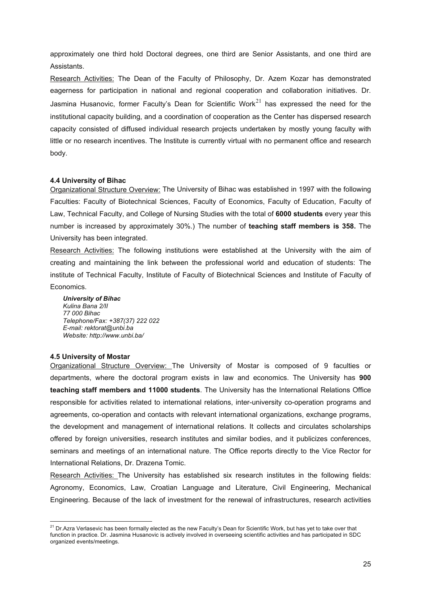<span id="page-24-0"></span>approximately one third hold Doctoral degrees, one third are Senior Assistants, and one third are Assistants.

Research Activities: The Dean of the Faculty of Philosophy, Dr. Azem Kozar has demonstrated eagerness for participation in national and regional cooperation and collaboration initiatives. Dr. Jasmina Husanovic, former Faculty's Dean for Scientific Work $^{21}$  $^{21}$  $^{21}$  has expressed the need for the institutional capacity building, and a coordination of cooperation as the Center has dispersed research capacity consisted of diffused individual research projects undertaken by mostly young faculty with little or no research incentives. The Institute is currently virtual with no permanent office and research body.

## **4.4 [University](http://www.unbi.ba/) of Bihac**

Organizational Structure Overview: The University of Bihac was established in 1997 with the following Faculties: Faculty of Biotechnical Sciences, Faculty of Economics, Faculty of Education, Faculty of Law, Technical Faculty, and College of Nursing Studies with the total of **6000 students** every year this number is increased by approximately 30%.) The number of **teaching staff members is 358.** The University has been integrated.

Research Activities: The following institutions were established at the University with the aim of creating and maintaining the link between the professional world and education of students: The institute of Technical Faculty, Institute of Faculty of Biotechnical Sciences and Institute of Faculty of Economics.

*University of Bihac Kulina Bana 2/II 77 000 Bihac Telephone/Fax: +387(37) 222 022 E-mail: rektorat@unbi.ba Website: http://www.unbi.ba/* 

#### **4.5 University of Mostar**

Organizational Structure Overview: The University of Mostar is composed of 9 faculties or departments, where the doctoral program exists in law and economics. The University has **900 teaching staff members and 11000 students**. The University has the International Relations Office responsible for activities related to international relations, inter-university co-operation programs and agreements, co-operation and contacts with relevant international organizations, exchange programs, the development and management of international relations. It collects and circulates scholarships offered by foreign universities, research institutes and similar bodies, and it publicizes conferences, seminars and meetings of an international nature. The Office reports directly to the Vice Rector for International Relations, Dr. Drazena Tomic.

Research Activities: The University has established six research institutes in the following fields: Agronomy, Economics, Law, Croatian Language and Literature, Civil Engineering, Mechanical Engineering. Because of the lack of investment for the renewal of infrastructures, research activities

 $\overline{a}$  $^{21}$  Dr.Azra Verlasevic has been formally elected as the new Faculty's Dean for Scientific Work, but has yet to take over that function in practice. Dr. Jasmina Husanovic is actively involved in overseeing scientific activities and has participated in SDC organized events/meetings.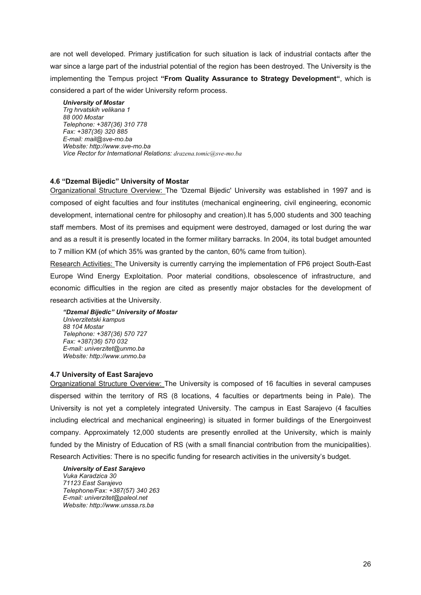<span id="page-25-0"></span>are not well developed. Primary justification for such situation is lack of industrial contacts after the war since a large part of the industrial potential of the region has been destroyed. The University is the implementing the Tempus project **"From Quality Assurance to Strategy Development"**, which is considered a part of the wider University reform process.

*University of Mostar Trg hrvatskih velikana 1 88 000 Mostar Telephone: +387(36) 310 778 Fax: +387(36) 320 885 E-mail: [mail@sve-mo.ba](mailto:mail@sve-mo.ba)  Website: http://www.sve-mo.ba Vice Rector for International Relations: [drazena.tomic@sve-mo.ba](mailto:drazena.tomic@sve-mo.ba)*

# **4.6 "Dzemal Bijedic" University of Mostar**

Organizational Structure Overview: The 'Dzemal Bijedic' University was established in 1997 and is composed of eight faculties and four institutes (mechanical engineering, civil engineering, economic development, international centre for philosophy and creation).It has 5,000 students and 300 teaching staff members. Most of its premises and equipment were destroyed, damaged or lost during the war and as a result it is presently located in the former military barracks. In 2004, its total budget amounted to 7 million KM (of which 35% was granted by the canton, 60% came from tuition).

Research Activities: The University is currently carrying the implementation of FP6 project South-East Europe Wind Energy Exploitation. Poor material conditions, obsolescence of infrastructure, and economic difficulties in the region are cited as presently major obstacles for the development of research activities at the University.

*"Dzemal Bijedic" University of Mostar Univerzitetski kampus 88 104 Mostar Telephone: +387(36) 570 727 Fax: +387(36) 570 032 E-mail: univerzitet@unmo.ba Website: http://www.unmo.ba* 

#### **4.7 [University of East Sarajevo](http://www.unssa.rs.ba/)**

Organizational Structure Overview: The University is composed of 16 faculties in several campuses dispersed within the territory of RS (8 locations, 4 faculties or departments being in Pale). The University is not yet a completely integrated University. The campus in East Sarajevo (4 faculties including electrical and mechanical engineering) is situated in former buildings of the Energoinvest company. Approximately 12,000 students are presently enrolled at the University, which is mainly funded by the Ministry of Education of RS (with a small financial contribution from the municipalities). Research Activities: There is no specific funding for research activities in the university's budget.

*University of East Sarajevo Vuka Karadzica 30 71123 East Sarajevo Telephone/Fax: +387(57) 340 263 E-mail: univerzitet@paleol.net Website: http://www.unssa.rs.ba*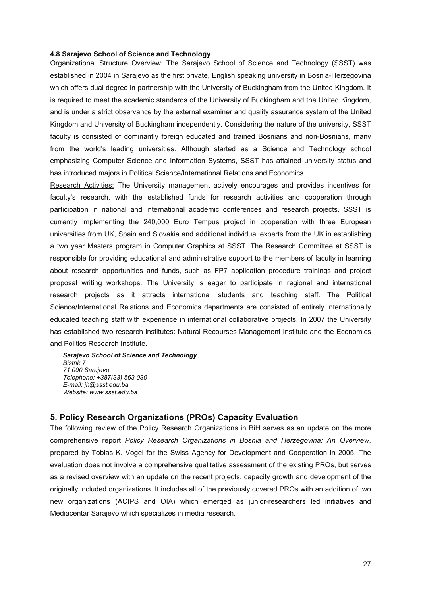#### <span id="page-26-0"></span>**4.8 Sarajevo School of Science and Technology**

Organizational Structure Overview: The Sarajevo School of Science and Technology (SSST) was established in 2004 in Sarajevo as the first private, English speaking university in Bosnia-Herzegovina which offers dual degree in partnership with the University of Buckingham from the United Kingdom. It is required to meet the academic standards of the University of Buckingham and the United Kingdom, and is under a strict observance by the external examiner and quality assurance system of the United Kingdom and University of Buckingham independently. Considering the nature of the university, SSST faculty is consisted of dominantly foreign educated and trained Bosnians and non-Bosnians, many from the world's leading universities. Although started as a Science and Technology school emphasizing Computer Science and Information Systems, SSST has attained university status and has introduced majors in Political Science/International Relations and Economics.

Research Activities: The University management actively encourages and provides incentives for faculty's research, with the established funds for research activities and cooperation through participation in national and international academic conferences and research projects. SSST is currently implementing the 240,000 Euro Tempus project in cooperation with three European universities from UK, Spain and Slovakia and additional individual experts from the UK in establishing a two year Masters program in Computer Graphics at SSST. The Research Committee at SSST is responsible for providing educational and administrative support to the members of faculty in learning about research opportunities and funds, such as FP7 application procedure trainings and project proposal writing workshops. The University is eager to participate in regional and international research projects as it attracts international students and teaching staff. The Political Science/International Relations and Economics departments are consisted of entirely internationally educated teaching staff with experience in international collaborative projects. In 2007 the University has established two research institutes: Natural Recourses Management Institute and the Economics and Politics Research Institute.

*Sarajevo School of Science and Technology Bistrik 7 71 000 Sarajevo Telephone: +387(33) 563 030 E-mail: [jh@ssst.edu.ba](mailto:jh@ssst.edu.ba)  Website: [www.ssst.edu.ba](http://www.ssst.edu.ba/)* 

## **5. Policy Research Organizations (PROs) Capacity Evaluation**

The following review of the Policy Research Organizations in BiH serves as an update on the more comprehensive report *Policy Research Organizations in Bosnia and Herzegovina: An Overview*, prepared by Tobias K. Vogel for the Swiss Agency for Development and Cooperation in 2005. The evaluation does not involve a comprehensive qualitative assessment of the existing PROs, but serves as a revised overview with an update on the recent projects, capacity growth and development of the originally included organizations. It includes all of the previously covered PROs with an addition of two new organizations (ACIPS and OIA) which emerged as junior-researchers led initiatives and Mediacentar Sarajevo which specializes in media research.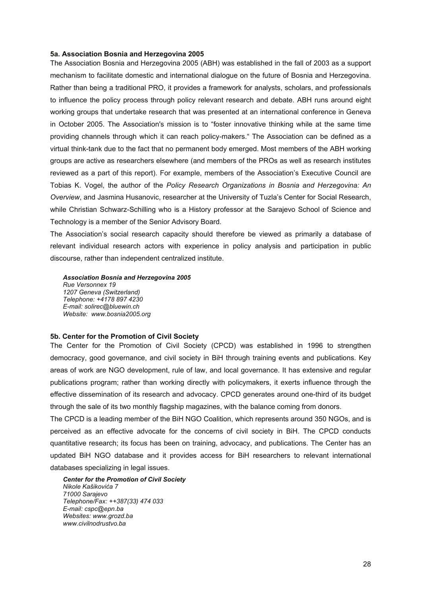#### <span id="page-27-0"></span>**5a. Association Bosnia and Herzegovina 2005**

The Association Bosnia and Herzegovina 2005 (ABH) was established in the fall of 2003 as a support mechanism to facilitate domestic and international dialogue on the future of Bosnia and Herzegovina. Rather than being a traditional PRO, it provides a framework for analysts, scholars, and professionals to influence the policy process through policy relevant research and debate. ABH runs around eight working groups that undertake research that was presented at an international conference in Geneva in October 2005. The Association's mission is to "foster innovative thinking while at the same time providing channels through which it can reach policy-makers." The Association can be defined as a virtual think-tank due to the fact that no permanent body emerged. Most members of the ABH working groups are active as researchers elsewhere (and members of the PROs as well as research institutes reviewed as a part of this report). For example, members of the Association's Executive Council are Tobias K. Vogel, the author of the *Policy Research Organizations in Bosnia and Herzegovina: An Overview*, and Jasmina Husanovic, researcher at the University of Tuzla's Center for Social Research, while Christian Schwarz-Schilling who is a History professor at the Sarajevo School of Science and Technology is a member of the Senior Advisory Board.

The Association's social research capacity should therefore be viewed as primarily a database of relevant individual research actors with experience in policy analysis and participation in public discourse, rather than independent centralized institute.

*Association Bosnia and Herzegovina 2005 Rue Versonnex 19* 

*1207 Geneva (Switzerland) Telephone: +4178 897 4230 E-mail: solirec@bluewin.ch Website: www.bosnia2005.org* 

#### **5b. Center for the Promotion of Civil Society**

The Center for the Promotion of Civil Society (CPCD) was established in 1996 to strengthen democracy, good governance, and civil society in BiH through training events and publications. Key areas of work are NGO development, rule of law, and local governance. It has extensive and regular publications program; rather than working directly with policymakers, it exerts influence through the effective dissemination of its research and advocacy. CPCD generates around one-third of its budget through the sale of its two monthly flagship magazines, with the balance coming from donors.

The CPCD is a leading member of the BiH NGO Coalition, which represents around 350 NGOs, and is perceived as an effective advocate for the concerns of civil society in BiH. The CPCD conducts quantitative research; its focus has been on training, advocacy, and publications. The Center has an updated BiH NGO database and it provides access for BiH researchers to relevant international databases specializing in legal issues.

*Center for the Promotion of Civil Society Nikole Kašikovića 7 71000 Sarajevo Telephone/Fax: ++387(33) 474 033 E-mail: cspc@epn.ba Websites: www.grozd.ba www.civilnodrustvo.ba*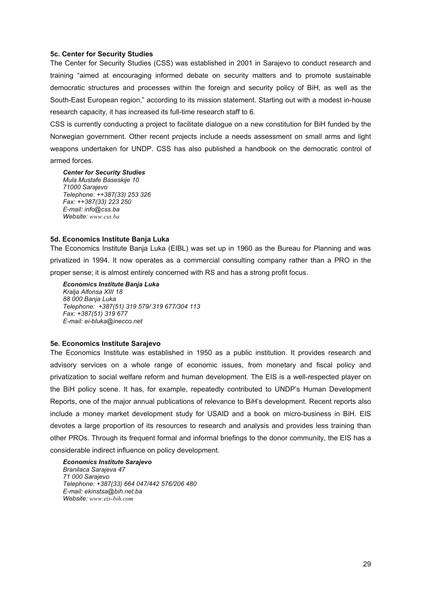#### <span id="page-28-0"></span>**5c. Center for Security Studies**

The Center for Security Studies (CSS) was established in 2001 in Sarajevo to conduct research and training "aimed at encouraging informed debate on security matters and to promote sustainable democratic structures and processes within the foreign and security policy of BiH, as well as the South-East European region," according to its mission statement. Starting out with a modest in-house research capacity, it has increased its full-time research staff to 6.

CSS is currently conducting a project to facilitate dialogue on a new constitution for BiH funded by the Norwegian government. Other recent projects include a needs assessment on small arms and light weapons undertaken for UNDP. CSS has also published a handbook on the democratic control of armed forces.

*Center for Security Studies Mula Mustafe Baseskije 10 71000 Sarajevo Telephone: ++387(33) 253 326 Fax: ++387(33) 223 250 E-mail: info@css.ba Website: [www.css.ba](http://www.css.ba/)*

#### **5d. Economics Institute Banja Luka**

The Economics Institute Banja Luka (EIBL) was set up in 1960 as the Bureau for Planning and was privatized in 1994. It now operates as a commercial consulting company rather than a PRO in the proper sense; it is almost entirely concerned with RS and has a strong profit focus.

*Economics Institute Banja Luka Kralja Alfonsa XIII 18 88 000 Banja Luka Telephone: +387(51) 319 579/ 319 677/304 113 Fax: +387(51) 319 677 E-mail: ei-bluka@inecco.net* 

#### **5e. Economics Institute Sarajevo**

The Economics Institute was established in 1950 as a public institution. It provides research and advisory services on a whole range of economic issues, from monetary and fiscal policy and privatization to social welfare reform and human development. The EIS is a well-respected player on the BiH policy scene. It has, for example, repeatedly contributed to UNDP's Human Development Reports, one of the major annual publications of relevance to BiH's development. Recent reports also include a money market development study for USAID and a book on micro-business in BiH. EIS devotes a large proportion of its resources to research and analysis and provides less training than other PROs. Through its frequent formal and informal briefings to the donor community, the EIS has a considerable indirect influence on policy development.

*Economics Institute Sarajevo Branilaca Sarajeva 47 71 000 Sarajevo Telephone: +387(33) 664 047/442 576/206 480 E-mail: ekinstsa@bih.net.ba Website: [www.eis-bih.com](http://www.eis-bih.com/)*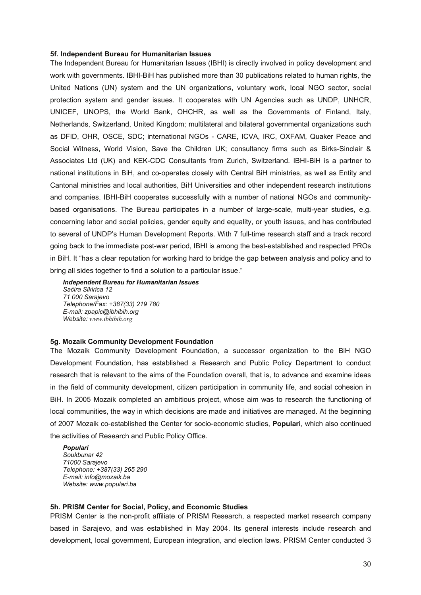#### <span id="page-29-0"></span>**5f. Independent Bureau for Humanitarian Issues**

The Independent Bureau for Humanitarian Issues (IBHI) is directly involved in policy development and work with governments. IBHI-BiH has published more than 30 publications related to human rights, the United Nations (UN) system and the UN organizations, voluntary work, local NGO sector, social protection system and gender issues. It cooperates with UN Agencies such as UNDP, UNHCR, UNICEF, UNOPS, the World Bank, OHCHR, as well as the Governments of Finland, Italy, Netherlands, Switzerland, United Kingdom; multilateral and bilateral governmental organizations such as DFID, OHR, OSCE, SDC; international NGOs - CARE, ICVA, IRC, OXFAM, Quaker Peace and Social Witness, World Vision, Save the Children UK; consultancy firms such as Birks-Sinclair & Associates Ltd (UK) and KEK-CDC Consultants from Zurich, Switzerland. IBHI-BiH is a partner to national institutions in BiH, and co-operates closely with Central BiH ministries, as well as Entity and Cantonal ministries and local authorities, BiH Universities and other independent research institutions and companies. IBHI-BiH cooperates successfully with a number of national NGOs and communitybased organisations. The Bureau participates in a number of large-scale, multi-year studies, e.g. concerning labor and social policies, gender equity and equality, or youth issues, and has contributed to several of UNDP's Human Development Reports. With 7 full-time research staff and a track record going back to the immediate post-war period, IBHI is among the best-established and respected PROs in BiH. It "has a clear reputation for working hard to bridge the gap between analysis and policy and to bring all sides together to find a solution to a particular issue."

*Independent Bureau for Humanitarian Issues Saćira Sikirica 12 71 000 Sarajevo Telephone/Fax: +387(33) 219 780 E-mail: zpapic@ibhibih.org Website: [www.ibhibih.org](http://www.ibhibih.org/)*

#### **5g. Mozaik Community Development Foundation**

The Mozaik Community Development Foundation, a successor organization to the BiH NGO Development Foundation, has established a Research and Public Policy Department to conduct research that is relevant to the aims of the Foundation overall, that is, to advance and examine ideas in the field of community development, citizen participation in community life, and social cohesion in BiH. In 2005 Mozaik completed an ambitious project, whose aim was to research the functioning of local communities, the way in which decisions are made and initiatives are managed. At the beginning of 2007 Mozaik co-established the Center for socio-economic studies, **Populari**, which also continued the activities of Research and Public Policy Office.

*Populari Soukbunar 42 71000 Sarajevo Telephone: +387(33) 265 290 E-mail: info@mozaik.ba Website: www.populari.ba* 

#### **5h. PRISM Center for Social, Policy, and Economic Studies**

PRISM Center is the non-profit affiliate of PRISM Research, a respected market research company based in Sarajevo, and was established in May 2004. Its general interests include research and development, local government, European integration, and election laws. PRISM Center conducted 3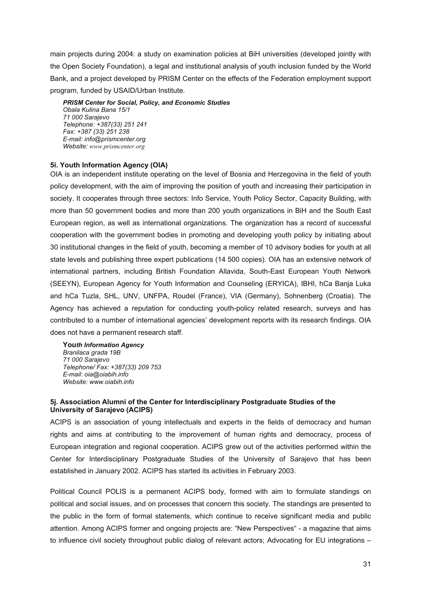<span id="page-30-0"></span>main projects during 2004: a study on examination policies at BiH universities (developed jointly with the Open Society Foundation), a legal and institutional analysis of youth inclusion funded by the World Bank, and a project developed by PRISM Center on the effects of the Federation employment support program, funded by USAID/Urban Institute.

*PRISM Center for Social, Policy, and Economic Studies Obala Kulina Bana 15/1 71 000 Sarajevo Telephone: +387(33) 251 241 Fax: +387 (33) 251 238 E-mail: info@prismcenter.org Website: [www.prismcenter.org](http://www.prismcenter.org/)*

## **5i. Youth Information Agency (OIA)**

OIA is an independent institute operating on the level of Bosnia and Herzegovina in the field of youth policy development, with the aim of improving the position of youth and increasing their participation in society. It cooperates through three sectors: Info Service, Youth Policy Sector, Capacity Building, with more than 50 government bodies and more than 200 youth organizations in BiH and the South East European region, as well as international organizations. The organization has a record of successful cooperation with the government bodies in promoting and developing youth policy by initiating about 30 institutional changes in the field of youth, becoming a member of 10 advisory bodies for youth at all state levels and publishing three expert publications (14 500 copies). OIA has an extensive network of international partners, including British Foundation Allavida, South-East European Youth Network (SEEYN), European Agency for Youth Information and Counseling (ERYICA), IBHI, hCa Banja Luka and hCa Tuzla, SHL, UNV, UNFPA, Roudel (France), VIA (Germany), Sohnenberg (Croatia). The Agency has achieved a reputation for conducting youth-policy related research, surveys and has contributed to a number of international agencies' development reports with its research findings. OIA does not have a permanent research staff.

**You***th Information Agency Branilaca grada 19B 71 000 Sarajevo Telephone/ Fax: +387(33) 209 753 E-mail: oia@oiabih.info Website: www.oiabih.info* 

## **5j. Association Alumni of the Center for Interdisciplinary Postgraduate Studies of the University of Sarajevo (ACIPS)**

ACIPS is an association of young intellectuals and experts in the fields of democracy and human rights and aims at contributing to the improvement of human rights and democracy, process of European integration and regional cooperation. ACIPS grew out of the activities performed within the Center for Interdisciplinary Postgraduate Studies of the University of Sarajevo that has been established in January 2002. ACIPS has started its activities in February 2003.

Political Council POLIS is a permanent ACIPS body, formed with aim to formulate standings on political and social issues, and on processes that concern this society. The standings are presented to the public in the form of formal statements, which continue to receive significant media and public attention. Among ACIPS former and ongoing projects are: "New Perspectives" - a magazine that aims to influence civil society throughout public dialog of relevant actors; Advocating for EU integrations –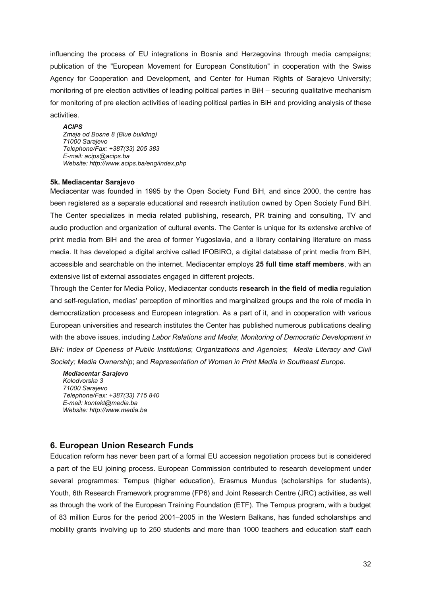<span id="page-31-0"></span>influencing the process of EU integrations in Bosnia and Herzegovina through media campaigns; publication of the "European Movement for European Constitution" in cooperation with the Swiss Agency for Cooperation and Development, and Center for Human Rights of Sarajevo University; monitoring of pre election activities of leading political parties in BiH – securing qualitative mechanism for monitoring of pre election activities of leading political parties in BiH and providing analysis of these activities.

#### *ACIPS*

*Zmaja od Bosne 8 (Blue building) 71000 Sarajevo Telephone/Fax: +387(33) 205 383 E-mail: [acips@acips.ba](mailto:acips@acips.ba) Website:<http://www.acips.ba/eng/index.php>*

#### **5k. Mediacentar Sarajevo**

Mediacentar was founded in 1995 by the [Open Society Fund BiH](http://www.soros.org.ba/), and since 2000, the centre has been registered as a separate educational and research institution owned by Open Society Fund BiH. The Center specializes in media related publishing, research, PR training and consulting, TV and audio production and organization of cultural events. The Center is unique for its extensive archive of print media from BiH and the area of former Yugoslavia, and a library containing literature on mass media. It has developed a digital archive called IFOBIRO, a digital database of print media from BiH, accessible and searchable on the internet. Mediacentar employs **25 full time staff members**, with an extensive list of external associates engaged in different projects.

Through the Center for Media Policy, Mediacentar conducts **research in the field of media** regulation and self-regulation, medias' perception of minorities and marginalized groups and the role of media in democratization procesess and European integration. As a part of it, and in cooperation with various European universities and research institutes the Center has published numerous publications dealing with the above issues, including *Labor Relations and Media*; *Monitoring of Democratic Development in BiH: Index of Openess of Public Institutions*; *Organizations and Agencies*; *Media Literacy and Civil Society; Media Ownership*; and *Representation of Women in Print Media in Southeast Europe*.

*Mediacentar Sarajevo Kolodvorska 3 71000 Sarajevo Telephone/Fax: +387(33) 715 840 E-mail: [kontakt@media.ba](mailto:kontakt@media.ba) Website: [http://www.media.ba](http://www.media.ba/)*

## **6. European Union Research Funds**

Education reform has never been part of a formal EU accession negotiation process but is considered a part of the EU joining process. European Commission contributed to research development under several programmes: Tempus (higher education), Erasmus Mundus (scholarships for students), Youth, 6th Research Framework programme (FP6) and Joint Research Centre (JRC) activities, as well as through the work of the European Training Foundation (ETF). The Tempus program, with a budget of 83 million Euros for the period 2001–2005 in the Western Balkans, has funded scholarships and mobility grants involving up to 250 students and more than 1000 teachers and education staff each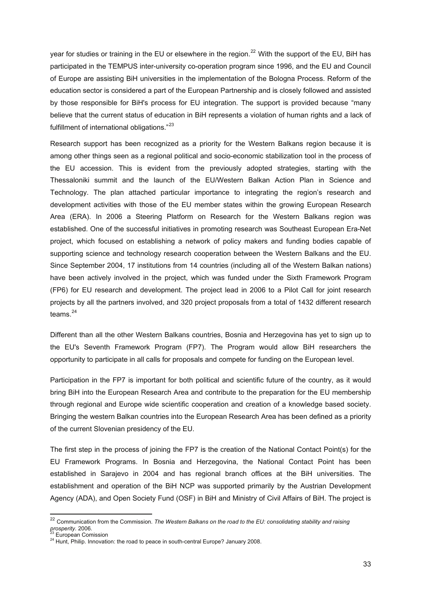<span id="page-32-0"></span>year for studies or training in the EU or elsewhere in the region.<sup>[22](#page-32-0)</sup> With the support of the EU, BiH has participated in the TEMPUS inter-university co-operation program since 1996, and the EU and Council of Europe are assisting BiH universities in the implementation of the Bologna Process. Reform of the education sector is considered a part of the European Partnership and is closely followed and assisted by those responsible for BiH's process for EU integration. The support is provided because "many believe that the current status of education in BiH represents a violation of human rights and a lack of fulfillment of international obligations."<sup>[23](#page-32-0)</sup>

Research support has been recognized as a priority for the Western Balkans region because it is among other things seen as a regional political and socio-economic stabilization tool in the process of the EU accession. This is evident from the previously adopted strategies, starting with the Thessaloniki summit and the launch of the EU/Western Balkan Action Plan in Science and Technology. The plan attached particular importance to integrating the region's research and development activities with those of the EU member states within the growing European Research Area (ERA). In 2006 a Steering Platform on Research for the Western Balkans region was established. One of the successful initiatives in promoting research was Southeast European Era-Net project, which focused on establishing a network of policy makers and funding bodies capable of supporting science and technology research cooperation between the Western Balkans and the EU. Since September 2004, 17 institutions from 14 countries (including all of the Western Balkan nations) have been actively involved in the project, which was funded under the Sixth Framework Program (FP6) for EU research and development. The project lead in 2006 to a Pilot Call for joint research projects by all the partners involved, and 320 project proposals from a total of 1432 different research teams.<sup>[24](#page-32-0)</sup>

Different than all the other Western Balkans countries, Bosnia and Herzegovina has yet to sign up to the EU's Seventh Framework Program (FP7). The Program would allow BiH researchers the opportunity to participate in all calls for proposals and compete for funding on the European level.

Participation in the FP7 is important for both political and scientific future of the country, as it would bring BiH into the European Research Area and contribute to the preparation for the EU membership through regional and Europe wide scientific cooperation and creation of a knowledge based society. Bringing the western Balkan countries into the European Research Area has been defined as a priority of the current Slovenian presidency of the EU.

The first step in the process of joining the FP7 is the creation of the National Contact Point(s) for the EU Framework Programs. In Bosnia and Herzegovina, the National Contact Point has been established in Sarajevo in 2004 and has regional branch offices at the BiH universities. The establishment and operation of the BiH NCP was supported primarily by the Austrian Development Agency (ADA), and [Open Society Fund \(OSF\) in BiH](http://www.soros.org.ba/) and [Ministry of Civil Affairs of BiH](http://www.mcp.gov.ba/). The project is

 $\overline{a}$ 

<sup>&</sup>lt;sup>22</sup> Communication from the Commission. *The Western Balkans on the road to the EU: consolidating stability and raising prosperity.* 2006. 23 European Comission 24 Hunt, Philip. Innovation: the road to peace in south-central Europe? January 2008.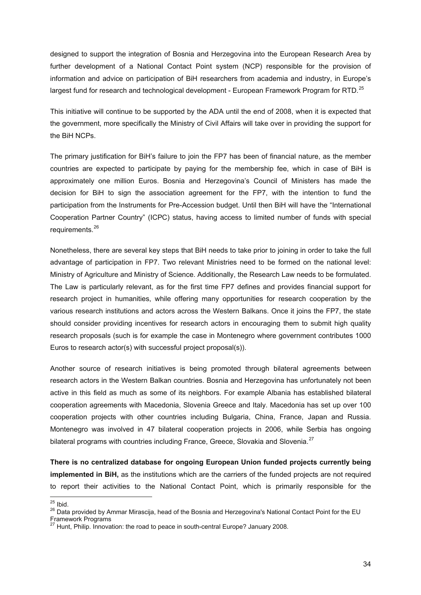<span id="page-33-0"></span>designed to support the integration of Bosnia and Herzegovina into the [European Research Area b](http://ec.europa.eu/research/era/index_en.html)y further development of a National Contact Point system (NCP) responsible for the provision of information and advice on participation of BiH researchers from academia and industry, in Europe's largest fund for research and technological development - [European Framework Program for RTD.](http://cordis.europa.eu/)<sup>[25](#page-33-0)</sup>

This initiative will continue to be supported by the ADA until the end of 2008, when it is expected that the government, more specifically the Ministry of Civil Affairs will take over in providing the support for the BiH NCPs.

The primary justification for BiH's failure to join the FP7 has been of financial nature, as the member countries are expected to participate by paying for the membership fee, which in case of BiH is approximately one million Euros. Bosnia and Herzegovina's Council of Ministers has made the decision for BiH to sign the association agreement for the FP7, with the intention to fund the participation from the Instruments for Pre-Accession budget. Until then BiH will have the "International Cooperation Partner Country" (ICPC) status, having access to limited number of funds with special requirements.<sup>[26](#page-33-0)</sup>

Nonetheless, there are several key steps that BiH needs to take prior to joining in order to take the full advantage of participation in FP7. Two relevant Ministries need to be formed on the national level: Ministry of Agriculture and Ministry of Science. Additionally, the Research Law needs to be formulated. The Law is particularly relevant, as for the first time FP7 defines and provides financial support for research project in humanities, while offering many opportunities for research cooperation by the various research institutions and actors across the Western Balkans. Once it joins the FP7, the state should consider providing incentives for research actors in encouraging them to submit high quality research proposals (such is for example the case in Montenegro where government contributes 1000 Euros to research actor(s) with successful project proposal(s)).

Another source of research initiatives is being promoted through bilateral agreements between research actors in the Western Balkan countries. Bosnia and Herzegovina has unfortunately not been active in this field as much as some of its neighbors. For example Albania has established bilateral cooperation agreements with Macedonia, Slovenia Greece and Italy. Macedonia has set up over 100 cooperation projects with other countries including Bulgaria, China, France, Japan and Russia. Montenegro was involved in 47 bilateral cooperation projects in 2006, while Serbia has ongoing bilateral programs with countries including France, Greece, Slovakia and Slovenia.<sup>[27](#page-33-0)</sup>

**There is no centralized database for ongoing European Union funded projects currently being implemented in BiH,** as the institutions which are the carriers of the funded projects are not required to report their activities to the National Contact Point, which is primarily responsible for the

 $25$  Ibid.

<sup>25</sup> Ibid. 26 Data provided by Ammar Mirascija, head of the Bosnia and Herzegovina's National Contact Point for the EU Framework Programs

 $27$  Hunt, Philip. Innovation: the road to peace in south-central Europe? January 2008.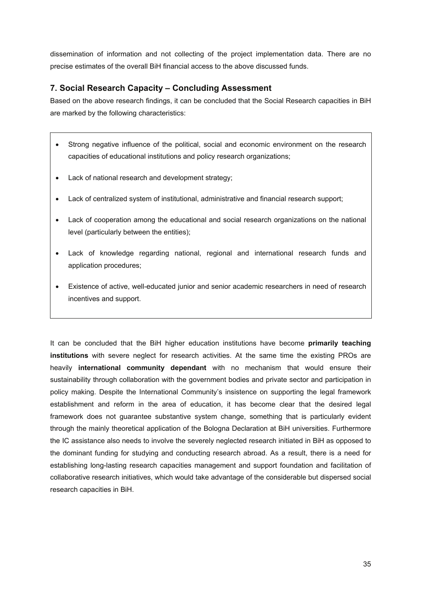<span id="page-34-0"></span>dissemination of information and not collecting of the project implementation data. There are no precise estimates of the overall BiH financial access to the above discussed funds.

# **7. Social Research Capacity – Concluding Assessment**

Based on the above research findings, it can be concluded that the Social Research capacities in BiH are marked by the following characteristics:

- Strong negative influence of the political, social and economic environment on the research capacities of educational institutions and policy research organizations;
- Lack of national research and development strategy;
- Lack of centralized system of institutional, administrative and financial research support;
- Lack of cooperation among the educational and social research organizations on the national level (particularly between the entities);
- Lack of knowledge regarding national, regional and international research funds and application procedures;
- Existence of active, well-educated junior and senior academic researchers in need of research incentives and support.

It can be concluded that the BiH higher education institutions have become **primarily teaching institutions** with severe neglect for research activities. At the same time the existing PROs are heavily **international community dependant** with no mechanism that would ensure their sustainability through collaboration with the government bodies and private sector and participation in policy making. Despite the International Community's insistence on supporting the legal framework establishment and reform in the area of education, it has become clear that the desired legal framework does not guarantee substantive system change, something that is particularly evident through the mainly theoretical application of the Bologna Declaration at BiH universities. Furthermore the IC assistance also needs to involve the severely neglected research initiated in BiH as opposed to the dominant funding for studying and conducting research abroad. As a result, there is a need for establishing long-lasting research capacities management and support foundation and facilitation of collaborative research initiatives, which would take advantage of the considerable but dispersed social research capacities in BiH.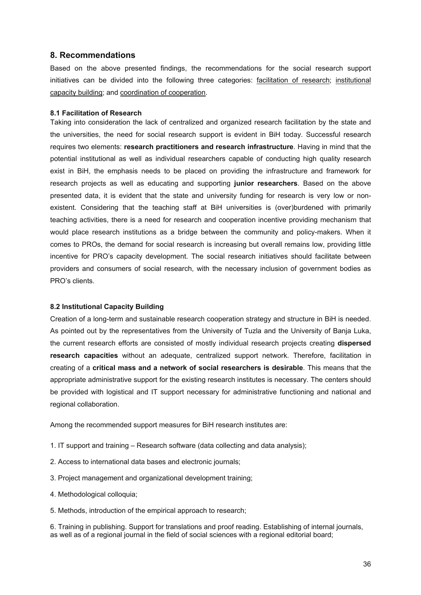## <span id="page-35-0"></span>**8. Recommendations**

Based on the above presented findings, the recommendations for the social research support initiatives can be divided into the following three categories: facilitation of research; institutional capacity building; and coordination of cooperation.

## **8.1 Facilitation of Research**

Taking into consideration the lack of centralized and organized research facilitation by the state and the universities, the need for social research support is evident in BiH today. Successful research requires two elements: **research practitioners and research infrastructure**. Having in mind that the potential institutional as well as individual researchers capable of conducting high quality research exist in BiH, the emphasis needs to be placed on providing the infrastructure and framework for research projects as well as educating and supporting **junior researchers**. Based on the above presented data, it is evident that the state and university funding for research is very low or nonexistent. Considering that the teaching staff at BiH universities is (over)burdened with primarily teaching activities, there is a need for research and cooperation incentive providing mechanism that would place research institutions as a bridge between the community and policy-makers. When it comes to PROs, the demand for social research is increasing but overall remains low, providing little incentive for PRO's capacity development. The social research initiatives should facilitate between providers and consumers of social research, with the necessary inclusion of government bodies as PRO's clients.

## **8.2 Institutional Capacity Building**

Creation of a long-term and sustainable research cooperation strategy and structure in BiH is needed. As pointed out by the representatives from the University of Tuzla and the University of Banja Luka, the current research efforts are consisted of mostly individual research projects creating **dispersed research capacities** without an adequate, centralized support network. Therefore, facilitation in creating of a **critical mass and a network of social researchers is desirable**. This means that the appropriate administrative support for the existing research institutes is necessary. The centers should be provided with logistical and IT support necessary for administrative functioning and national and regional collaboration.

Among the recommended support measures for BiH research institutes are:

- 1. IT support and training Research software (data collecting and data analysis);
- 2. Access to international data bases and electronic journals;
- 3. Project management and organizational development training;
- 4. Methodological colloquia;
- 5. Methods, introduction of the empirical approach to research;

6. Training in publishing. Support for translations and proof reading. Establishing of internal journals, as well as of a regional journal in the field of social sciences with a regional editorial board;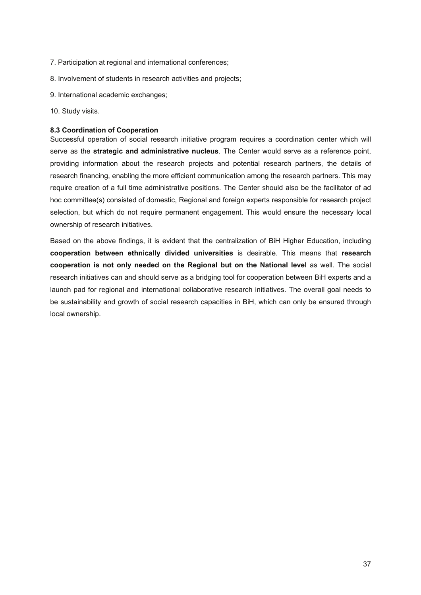- <span id="page-36-0"></span>7. Participation at regional and international conferences;
- 8. Involvement of students in research activities and projects;
- 9. International academic exchanges;
- 10. Study visits.

## **8.3 Coordination of Cooperation**

Successful operation of social research initiative program requires a coordination center which will serve as the **strategic and administrative nucleus**. The Center would serve as a reference point, providing information about the research projects and potential research partners, the details of research financing, enabling the more efficient communication among the research partners. This may require creation of a full time administrative positions. The Center should also be the facilitator of ad hoc committee(s) consisted of domestic, Regional and foreign experts responsible for research project selection, but which do not require permanent engagement. This would ensure the necessary local ownership of research initiatives.

Based on the above findings, it is evident that the centralization of BiH Higher Education, including **cooperation between ethnically divided universities** is desirable. This means that **research cooperation is not only needed on the Regional but on the National level** as well. The social research initiatives can and should serve as a bridging tool for cooperation between BiH experts and a launch pad for regional and international collaborative research initiatives. The overall goal needs to be sustainability and growth of social research capacities in BiH, which can only be ensured through local ownership.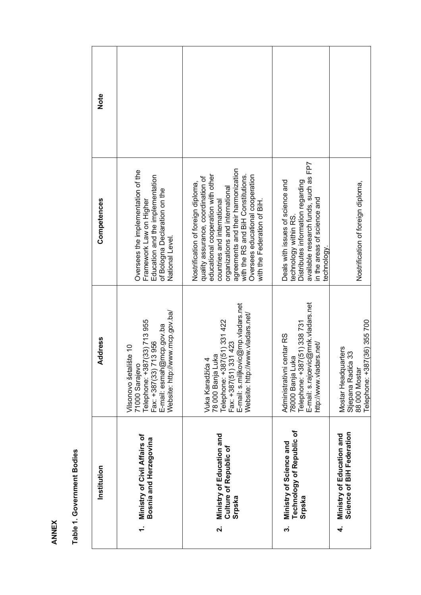| Institution | Ministry of Civil Affairs of<br>Bosnia and Herzegovina                                                                                                            | Ministry of Education and<br>Culture of Republic of<br>Srpska<br>$\dot{\mathbf{v}}$                                                                                                                                                                                                                                             | Technology of Republic of<br>Ministry of Science and<br>Srpska<br>က်                                                                                                                 | Science of BiH Federation<br>Ministry of Education and<br>4                               |
|-------------|-------------------------------------------------------------------------------------------------------------------------------------------------------------------|---------------------------------------------------------------------------------------------------------------------------------------------------------------------------------------------------------------------------------------------------------------------------------------------------------------------------------|--------------------------------------------------------------------------------------------------------------------------------------------------------------------------------------|-------------------------------------------------------------------------------------------|
| Address     | Website: http://www.mcp.gov.ba/<br>71000 Sarajevo<br>Telephone: +387(33) 713 955<br>E-mail: esmah@mcp.gov.ba<br>713956<br>Vilsonovo šetalište 10<br>Fax: +387(33) | E-mail: s.miljkovic@mp.vladars.net<br>Website: http://www.vladars.net/<br>Telephone: +387(51) 331 422<br>Fax: +387(51) 331 423<br>78 000 Banja Luka<br>Vuka Karadžića 4                                                                                                                                                         | E-mail: s.rajcevic@mnk.vladars.net<br>Telephone: +387(51) 338 731<br>Administrativni centar RS<br>http://www.vladars.net/<br>78000 Banja Luka                                        | Telephone: +387(36) 355 700<br>Mostar Headquarters<br>Stjepana Radića 33<br>88 000 Mostar |
| Competences | Oversees the implementation of the<br>Education and the implementation<br>of Bologna Declaration on the<br>Framework Law on Higher<br>National Level.             | agreements and their harmonization<br>educational cooperation with other<br>Oversees educational cooperation<br>with the RS and BiH Constitutions.<br>quality assurance, coordination of<br>Nostrification of foreign diploma,<br>organizations and international<br>countries and international<br>with the Federation of BiH. | available research funds, such as FP7<br>Deals with issues of science and<br>Distributes information regarding<br>in the areas of science and<br>technology within RS.<br>technology | Nostrification of foreign diploma,                                                        |
| Note        |                                                                                                                                                                   |                                                                                                                                                                                                                                                                                                                                 |                                                                                                                                                                                      |                                                                                           |

Table 1. Government Bodies **Table 1. Government Bodies** 

ANNEX **ANNEX**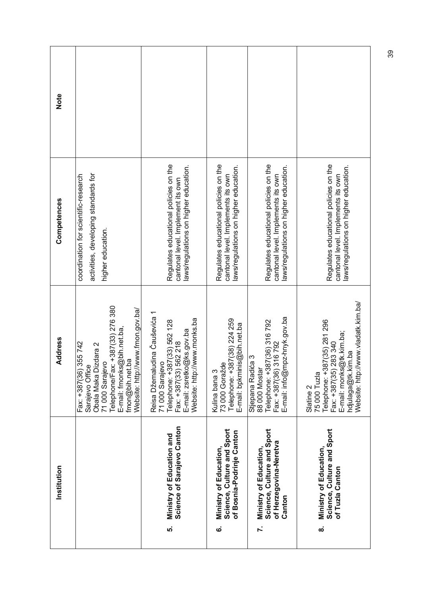| Note        |                                                                                                                                                                                                             |                                                                                                                                                                       |                                                                                                                      |                                                                                                                            |                                                                                                                                                                                       |
|-------------|-------------------------------------------------------------------------------------------------------------------------------------------------------------------------------------------------------------|-----------------------------------------------------------------------------------------------------------------------------------------------------------------------|----------------------------------------------------------------------------------------------------------------------|----------------------------------------------------------------------------------------------------------------------------|---------------------------------------------------------------------------------------------------------------------------------------------------------------------------------------|
| Competences | activities, developing standards for<br>coordination for scientific-research<br>higher education.                                                                                                           | Regulates educational policies on the<br>laws/regulations on higher education.<br>cantonal level. Implement its own                                                   | Regulates educational policies on the<br>laws/regulations on higher education.<br>cantonal level. Implements its own | Regulates educational policies on the<br>aws/regulations on higher education.<br>cantonal level. Implements its own        | Regulates educational policies on the<br>aws/regulations on higher education.<br>cantonal level. Implements its own                                                                   |
| Address     | Telephone/Fax: +387(33) 276 380<br>Website: http://www.fmon.gov.ba/<br>E-mail: fmonks@bih.net.ba,<br>Fax: +387(36) 355 742<br>Obala Maka Dizdara 2<br>fmon@bih.net.ba<br>71 000 Sarajevo<br>Sarajevo Office | Reisa Džemaludina Čauševića 1<br>Website: http://www.monks.ba<br>Telephone: +387(33) 562 128<br>Fax: +387(33) 562 218<br>E-mail: zsretko@ks.gov.ba<br>71 000 Sarajevo | 73 000 Goražde<br>Telephone: +387(38) 224 259<br>E-mail: bpkminis@bih.net.ba<br>Kulina bana 3                        | E-mail: info@mpz-hnyk.gov.ba<br>Telephone: +387(36) 316 792<br>Fax: +387(36) 316 792<br>Stjepana Radića 3<br>88 000 Mostar | Website: http://www.vladatk.kim.ba/<br>Telephone: +387(35) 281 296<br>E-mail: monks@tk.kim.ba;<br>Fax: +387(35) 283 340<br>hdjulaga@tk.kim.ba<br>75 000 Tuzla<br>Slatine <sub>2</sub> |
| Institution |                                                                                                                                                                                                             | Science of Sarajevo Canton<br>Ministry of Education and<br>ທ່                                                                                                         | Science, Culture and Sport<br>of Bosnia-Podrinje Canton<br>Ministry of Education,<br><u>ဖ</u>                        | Science, Culture and Sport<br>of Herzegovina-Neretva<br>Ministry of Education<br>Canton<br><sup>-</sup>                    | Science, Culture and Sport<br>Ministry of Education,<br>of Tuzla Canton<br>ထံ                                                                                                         |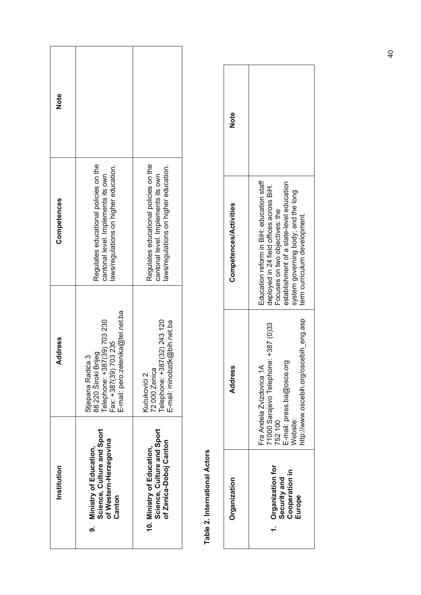| Institution                                                                                 | <b>Address</b>                                                                                                                            | Competences                                                                                                          | <b>Note</b> |
|---------------------------------------------------------------------------------------------|-------------------------------------------------------------------------------------------------------------------------------------------|----------------------------------------------------------------------------------------------------------------------|-------------|
| Science, Culture and Sport<br>of Western-Herzegovina<br>9. Ministry of Education,<br>Canton | E-mail: pero.zelenika@tel.net.ba<br>Telephone: +387(39) 703 230<br>703235<br>88 220 Široki Brijeg<br>Stjepana Radića 3<br>Fax: +387(39) 7 | Regulates educational policies on the<br>laws/regulations on higher education.<br>cantonal level. Implements its own |             |
| Science, Culture and Sport<br>of Zenica-Doboj Canton<br>10. Ministry of Education,          | Telephone: +387(32) 243 120<br>E-mail: minobzdk@bih.net.ba<br>72000 Zenica<br>Kućukovići 2                                                | Regulates educational policies on the<br>laws/regulations on higher education.<br>cantonal level. Implements its own |             |

Table 2. International Actors **Table 2. International Actors** 

| Organization                                                 | ress<br>Addr                                                                                                                                                  | <b>Competences/Activities</b>                                                                                                                                                                                                             | Note |
|--------------------------------------------------------------|---------------------------------------------------------------------------------------------------------------------------------------------------------------|-------------------------------------------------------------------------------------------------------------------------------------------------------------------------------------------------------------------------------------------|------|
| Organization for<br>Cooperation in<br>Security and<br>Europe | ttp://www.oscebih.org/oscebih_eng.asp<br>71000 Sarajevo Telephone: +387 (0)33<br>E-mail: press.ba@osce.org<br>Fra Andela Zvizdovica 1A<br>Vebsite:<br>752 100 | Education reform in BiH: education staff<br>establishment of a state-level education<br>deployed in 24 field offices across BiH.<br>system governing body; and the long<br>Focuses on two objectives: the<br>term curriculum development. |      |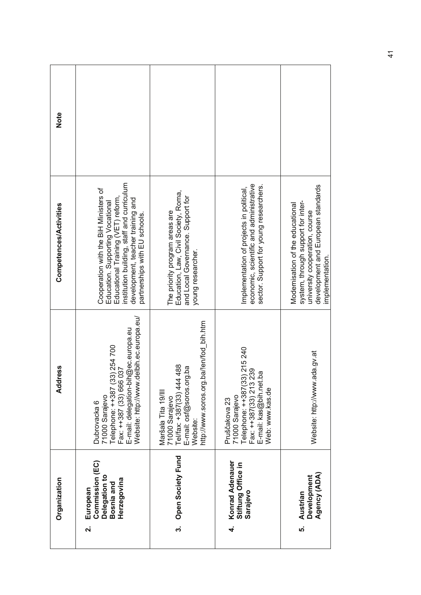|                    | Organization                                                              | <b>Address</b>                                                                                                                                                                | Competences/Activities                                                                                                                                                                                                              | Note |
|--------------------|---------------------------------------------------------------------------|-------------------------------------------------------------------------------------------------------------------------------------------------------------------------------|-------------------------------------------------------------------------------------------------------------------------------------------------------------------------------------------------------------------------------------|------|
| $\dot{\mathbf{v}}$ | Commission (EC)<br>Delegation to<br>Herzegovina<br>Bosnia and<br>European | Website: http://www.delbih.ec.europa.eu/<br>E-mail: delegation-bih@ec.europa.eu<br>Telephone: ++387 (33) 254 700<br>Fax: ++387 (33) 666 037<br>71000 Sarajevo<br>Dubrovacka 6 | institution building, staff and curriculum<br>Cooperation with the BiH Ministers of<br>Educational Training (VET) reform,<br>development, teacher training and<br>Education. Supporting Vocational<br>partnerships with EU schools. |      |
| က                  | Open Society Fund                                                         | http://www.soros.org.ba/!en/fod_bih.htm<br>188<br>E-mail: osf@soros.org.ba<br>Tel/fax: +387(33) 444 4<br>Maršala Tita 19/III<br>71000 Sarajevo<br>Website:                    | Education, Law, Civil Society, Roma,<br>and Local Governance. Support for<br>The priority program areas are<br>young researcher.                                                                                                    |      |
| 4                  | Konrad Adenauer<br>Stiftung Office in<br>Sarajevo                         | Telephone: ++387(33) 215 240<br>Fax: ++387(33) 213 239<br>E-mail: kas@bih.net.ba<br>Web: www.kas.de<br>71000 Sarajevo<br>Pruščakova 23                                        | economic, scientific and administrative<br>sector. Support for young researchers.<br>Implementation of projects in political,                                                                                                       |      |
| ທ່                 | Agency (ADA)<br><b>Development</b><br>Austrian                            | Website: http://www.ada.gv.at                                                                                                                                                 | development and European standards<br>system, through support for inter-<br>Modernisation of the educational<br>university cooperation, course<br>implementation.                                                                   |      |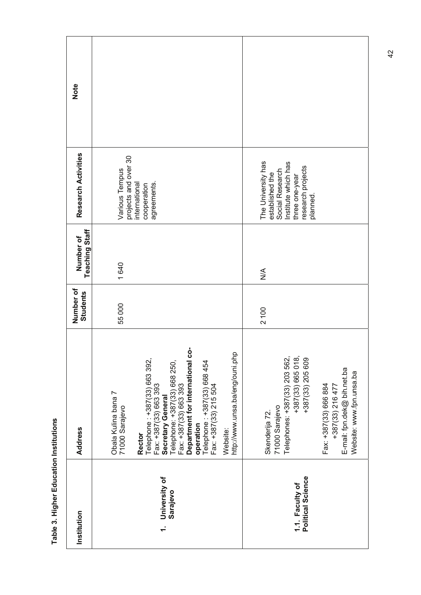| Note                               |                                                                                                                                                                                                                                                                                                                                                      |                                                                                                                                                                                                                    |
|------------------------------------|------------------------------------------------------------------------------------------------------------------------------------------------------------------------------------------------------------------------------------------------------------------------------------------------------------------------------------------------------|--------------------------------------------------------------------------------------------------------------------------------------------------------------------------------------------------------------------|
| Research Activities                | projects and over 30<br>Various Tempus<br>nternational<br>agreements<br>cooperation                                                                                                                                                                                                                                                                  | The University has<br>Institute which has<br>research projects<br>Social Research<br>established the<br>three one-year<br>planned                                                                                  |
| <b>Teaching Staff</b><br>Number of | 1640                                                                                                                                                                                                                                                                                                                                                 | $\stackrel{\leq}{\geq}$                                                                                                                                                                                            |
| Number of<br><b>Students</b>       | 55000                                                                                                                                                                                                                                                                                                                                                | 2100                                                                                                                                                                                                               |
| <b>Address</b>                     | Department for international co-<br>http://www.unsa.ba/eng/ouni.php<br>Telephone: +387(33) 663 392,<br>Telephone: +387(33) 668 250,<br>Fax: +387(33) 663 393<br>Telephone: +387(33) 668 454<br>Fax: +387(33) 215 504<br>Fax: +387(33) 663 393<br>Obala Kulina bana 7<br>Secretary General<br>71000 Sarajevo<br>operation<br>Website<br><b>Rector</b> | Telephones: +387(33) 203 562,<br>+387(33) 665 018,<br>+387(33) 205 609<br>E-mail: fpn.dek@ bih.net.ba<br>Website: www.fpn.unsa.ba<br>Fax: +387(33) 666 884<br>+387(33) 216 477<br>71000 Sarajevo<br>Skenderija 72. |
| Institution                        | University of<br>Sarajevo<br>$\div$                                                                                                                                                                                                                                                                                                                  | Political Science<br>1.1. Faculty of                                                                                                                                                                               |

Table 3. Higher Education Institutions **Table 3. Higher Education Institutions**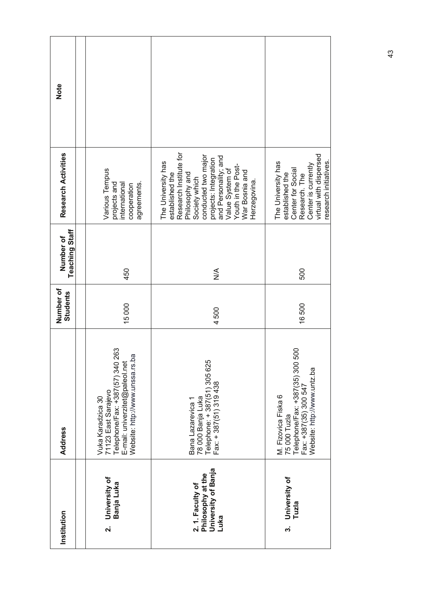| Institution                                                         | <b>Address</b>                                                                                                                                   | Number of<br><b>Students</b> | <b>Teaching Staff</b><br>Number of | Research Activities                                                                                                                                                                                                                                   | Note |
|---------------------------------------------------------------------|--------------------------------------------------------------------------------------------------------------------------------------------------|------------------------------|------------------------------------|-------------------------------------------------------------------------------------------------------------------------------------------------------------------------------------------------------------------------------------------------------|------|
| University of<br>Banja Luka<br>ี่ผ่                                 | Telephone/Fax: +387(57) 340 263<br>Website: http://www.unssa.rs.ba<br>E-mail: univerzitet@paleol.net<br>71123 East Sarajevo<br>Vuka Karadzica 30 | 15000                        | 450                                | Various Tempus<br>agreements.<br>projects and<br>international<br>cooperation                                                                                                                                                                         |      |
| University of Banja<br>Philosophy at the<br>2.1. Faculty of<br>Luka | Telephone: +387(51) 305 625<br>Fax: +387(51) 319 438<br>78 000 Banja Luka<br>Bana Lazarevica 1                                                   | 4500                         | $\frac{1}{2}$                      | Research Institute for<br>conducted two major<br>and Personality; and<br>projects: Integration<br>The University has<br>Youth in the Post-<br>Value System of<br>War Bosnia and<br>established the<br>Philosophy and<br>Society which<br>Herzegovina. |      |
| University of<br>Tuzla<br>က                                         | Telephone/Fax: +387(35) 300 500<br>Website: http://www.untz.ba<br>Fax: +387(35) 300 547<br>M. Fizovica Fiska 6<br>75 000 Tuzla                   | 16500                        | 500                                | virtual with dispersed<br>research initiatives.<br>The University has<br>Center is currently<br>Center for Social<br>established the<br>Research. The                                                                                                 |      |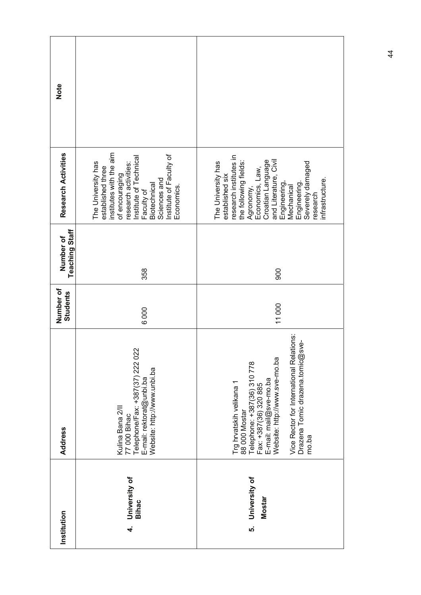| Institution                                | <b>Address</b>                                                                                                                                                                                                                                           | Number of<br><b>Students</b> | <b>Teaching Staff</b><br>Number of | Research Activities                                                                                                                                                                                                                                                          | Note |
|--------------------------------------------|----------------------------------------------------------------------------------------------------------------------------------------------------------------------------------------------------------------------------------------------------------|------------------------------|------------------------------------|------------------------------------------------------------------------------------------------------------------------------------------------------------------------------------------------------------------------------------------------------------------------------|------|
| University of<br><b>Bihac</b><br>$\vec{r}$ | Telephone/Fax: +387(37) 222 022<br>Website: http://www.unbi.ba<br>E-mail: rektorat@unbi.ba<br>Kulina Bana 2/II<br>77 000 Bihac                                                                                                                           | 6000                         | 358                                | institutes with the aim<br>Institute of Faculty of<br>Institute of Technical<br>The University has<br>research activities:<br>established three<br>of encouraging<br>Sciences and<br>Biotechnical<br>Economics.<br>Faculty of                                                |      |
| University of<br><b>Mostar</b><br>ທ່       | Vice Rector for International Relations:<br>φ<br>Drazena Tomic drazena.tomic@sv<br>Website: http://www.sve-mo.ba<br>Telephone: +387(36) 310 778<br>E-mail: mail@sve-mo.ba<br>Trg hrvatskih velikana 1<br>Fax: +387(36) 320 885<br>88 000 Mostar<br>mo.ba | 11000                        | 900                                | research institutes in<br>Croatian Language<br>and Literature, Civil<br>the following fields:<br>The University has<br>Severely damaged<br>Agronomy,<br>Economics, Law,<br>established six<br><b>infrastructure</b><br>Engineering,<br>Engineering<br>Mechanical<br>research |      |

44